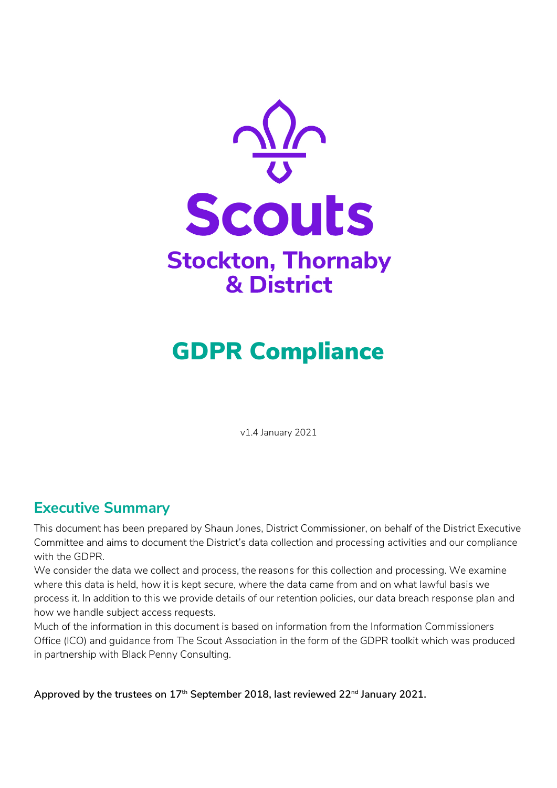

# GDPR Compliance

v1.4 January 2021

# **Executive Summary**

This document has been prepared by Shaun Jones, District Commissioner, on behalf of the District Executive Committee and aims to document the District's data collection and processing activities and our compliance with the GDPR.

We consider the data we collect and process, the reasons for this collection and processing. We examine where this data is held, how it is kept secure, where the data came from and on what lawful basis we process it. In addition to this we provide details of our retention policies, our data breach response plan and how we handle subject access requests.

Much of the information in this document is based on information from the Information Commissioners Office (ICO) and guidance from The Scout Association in the form of the GDPR toolkit which was produced in partnership with Black Penny Consulting.

**Approved by the trustees on 17th September 2018, last reviewed 22nd January 2021.**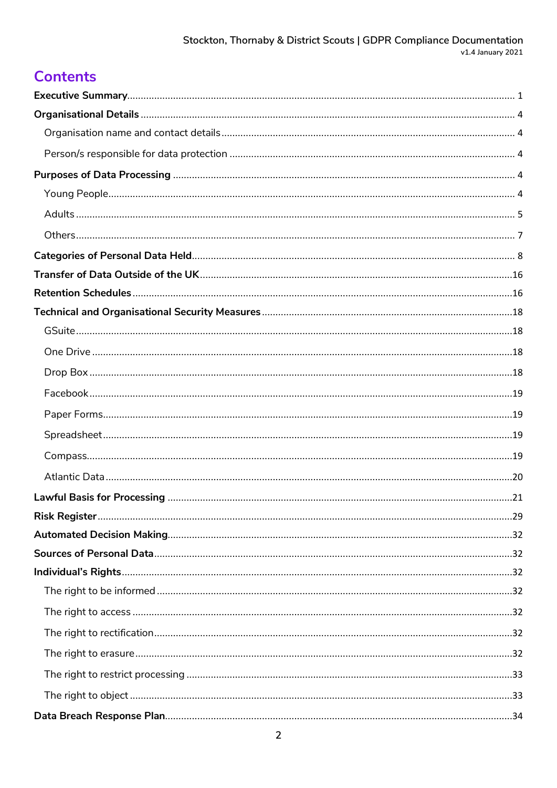# **Contents**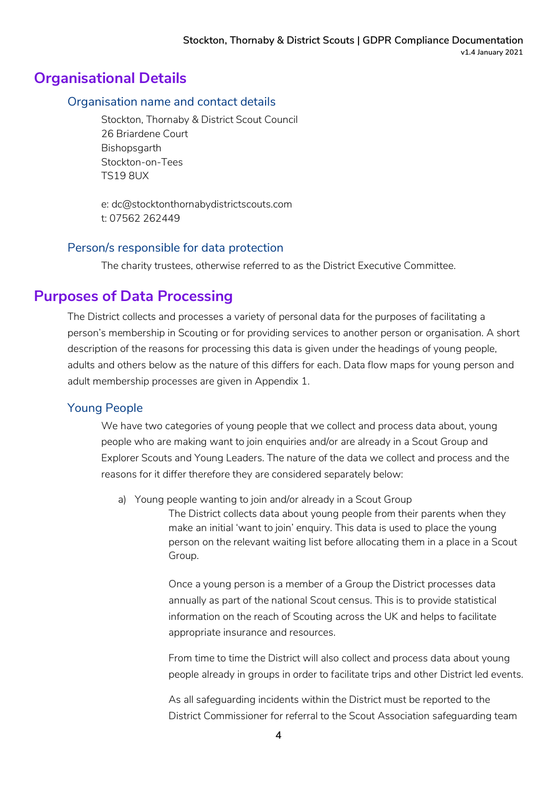### **Organisational Details**

#### Organisation name and contact details

Stockton, Thornaby & District Scout Council 26 Briardene Court Bishopsgarth Stockton-on-Tees TS19 8UX

e: dc@stocktonthornabydistrictscouts.com t: 07562 262449

#### Person/s responsible for data protection

The charity trustees, otherwise referred to as the District Executive Committee.

### **Purposes of Data Processing**

The District collects and processes a variety of personal data for the purposes of facilitating a person's membership in Scouting or for providing services to another person or organisation. A short description of the reasons for processing this data is given under the headings of young people, adults and others below as the nature of this differs for each. Data flow maps for young person and adult membership processes are given in Appendix 1.

### Young People

We have two categories of young people that we collect and process data about, young people who are making want to join enquiries and/or are already in a Scout Group and Explorer Scouts and Young Leaders. The nature of the data we collect and process and the reasons for it differ therefore they are considered separately below:

a) Young people wanting to join and/or already in a Scout Group

The District collects data about young people from their parents when they make an initial 'want to join' enquiry. This data is used to place the young person on the relevant waiting list before allocating them in a place in a Scout Group.

Once a young person is a member of a Group the District processes data annually as part of the national Scout census. This is to provide statistical information on the reach of Scouting across the UK and helps to facilitate appropriate insurance and resources.

From time to time the District will also collect and process data about young people already in groups in order to facilitate trips and other District led events.

As all safeguarding incidents within the District must be reported to the District Commissioner for referral to the Scout Association safeguarding team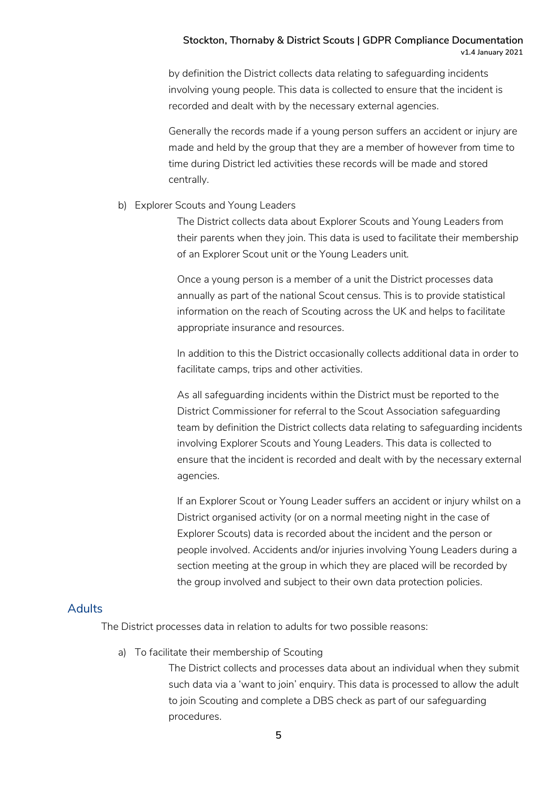by definition the District collects data relating to safeguarding incidents involving young people. This data is collected to ensure that the incident is recorded and dealt with by the necessary external agencies.

Generally the records made if a young person suffers an accident or injury are made and held by the group that they are a member of however from time to time during District led activities these records will be made and stored centrally.

#### b) Explorer Scouts and Young Leaders

The District collects data about Explorer Scouts and Young Leaders from their parents when they join. This data is used to facilitate their membership of an Explorer Scout unit or the Young Leaders unit.

Once a young person is a member of a unit the District processes data annually as part of the national Scout census. This is to provide statistical information on the reach of Scouting across the UK and helps to facilitate appropriate insurance and resources.

In addition to this the District occasionally collects additional data in order to facilitate camps, trips and other activities.

As all safeguarding incidents within the District must be reported to the District Commissioner for referral to the Scout Association safeguarding team by definition the District collects data relating to safeguarding incidents involving Explorer Scouts and Young Leaders. This data is collected to ensure that the incident is recorded and dealt with by the necessary external agencies.

If an Explorer Scout or Young Leader suffers an accident or injury whilst on a District organised activity (or on a normal meeting night in the case of Explorer Scouts) data is recorded about the incident and the person or people involved. Accidents and/or injuries involving Young Leaders during a section meeting at the group in which they are placed will be recorded by the group involved and subject to their own data protection policies.

#### Adults

The District processes data in relation to adults for two possible reasons:

a) To facilitate their membership of Scouting

The District collects and processes data about an individual when they submit such data via a 'want to join' enquiry. This data is processed to allow the adult to join Scouting and complete a DBS check as part of our safeguarding procedures.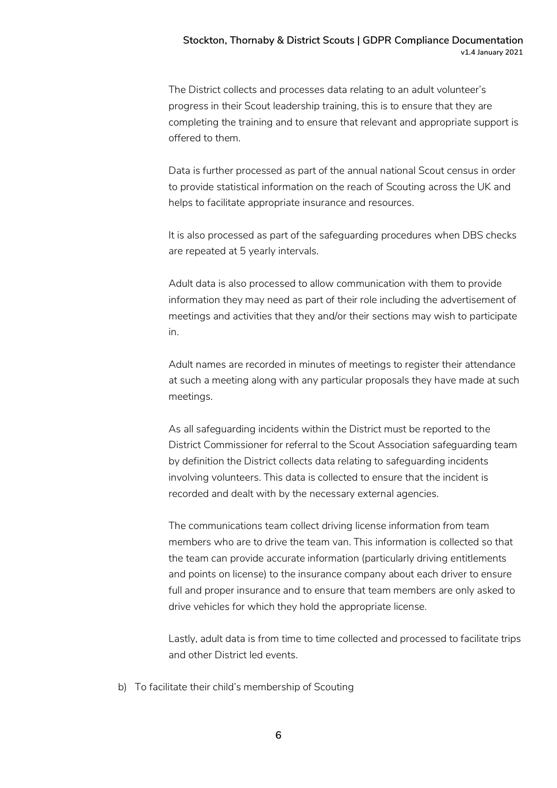The District collects and processes data relating to an adult volunteer's progress in their Scout leadership training, this is to ensure that they are completing the training and to ensure that relevant and appropriate support is offered to them.

Data is further processed as part of the annual national Scout census in order to provide statistical information on the reach of Scouting across the UK and helps to facilitate appropriate insurance and resources.

It is also processed as part of the safeguarding procedures when DBS checks are repeated at 5 yearly intervals.

Adult data is also processed to allow communication with them to provide information they may need as part of their role including the advertisement of meetings and activities that they and/or their sections may wish to participate in.

Adult names are recorded in minutes of meetings to register their attendance at such a meeting along with any particular proposals they have made at such meetings.

As all safeguarding incidents within the District must be reported to the District Commissioner for referral to the Scout Association safeguarding team by definition the District collects data relating to safeguarding incidents involving volunteers. This data is collected to ensure that the incident is recorded and dealt with by the necessary external agencies.

The communications team collect driving license information from team members who are to drive the team van. This information is collected so that the team can provide accurate information (particularly driving entitlements and points on license) to the insurance company about each driver to ensure full and proper insurance and to ensure that team members are only asked to drive vehicles for which they hold the appropriate license.

Lastly, adult data is from time to time collected and processed to facilitate trips and other District led events.

b) To facilitate their child's membership of Scouting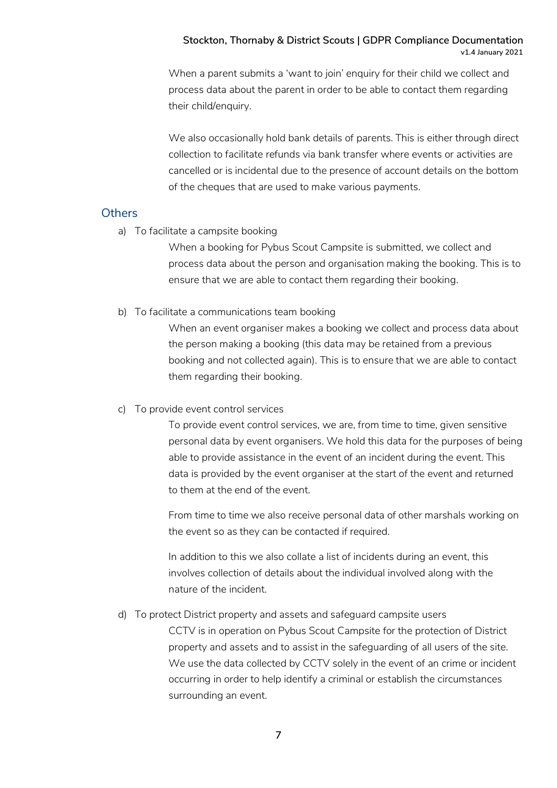When a parent submits a 'want to join' enquiry for their child we collect and process data about the parent in order to be able to contact them regarding their child/enquiry.

We also occasionally hold bank details of parents. This is either through direct collection to facilitate refunds via bank transfer where events or activities are cancelled or is incidental due to the presence of account details on the bottom of the cheques that are used to make various payments.

#### **Others**

a) To facilitate a campsite booking

When a booking for Pybus Scout Campsite is submitted, we collect and process data about the person and organisation making the booking. This is to ensure that we are able to contact them regarding their booking.

b) To facilitate a communications team booking

When an event organiser makes a booking we collect and process data about the person making a booking (this data may be retained from a previous booking and not collected again). This is to ensure that we are able to contact them regarding their booking.

c) To provide event control services

To provide event control services, we are, from time to time, given sensitive personal data by event organisers. We hold this data for the purposes of being able to provide assistance in the event of an incident during the event. This data is provided by the event organiser at the start of the event and returned to them at the end of the event.

From time to time we also receive personal data of other marshals working on the event so as they can be contacted if required.

In addition to this we also collate a list of incidents during an event, this involves collection of details about the individual involved along with the nature of the incident.

#### d) To protect District property and assets and safeguard campsite users

CCTV is in operation on Pybus Scout Campsite for the protection of District property and assets and to assist in the safeguarding of all users of the site. We use the data collected by CCTV solely in the event of an crime or incident occurring in order to help identify a criminal or establish the circumstances surrounding an event.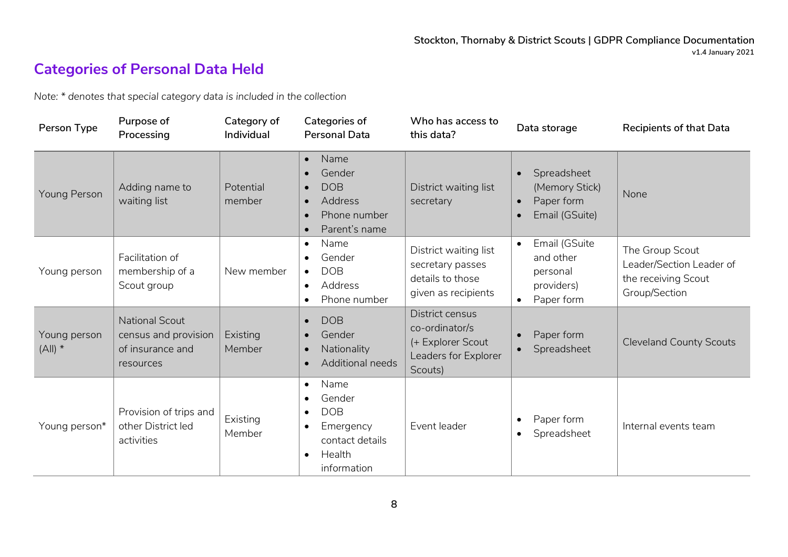# **Categories of Personal Data Held**

*Note: \* denotes that special category data is included in the collection*

| Person Type               | Purpose of<br>Processing                                                       | Category of<br>Individual | Categories of<br><b>Personal Data</b>                                                                                                                  | Who has access to<br>this data?                                                           | Data storage                                                                                         | <b>Recipients of that Data</b>                                                      |
|---------------------------|--------------------------------------------------------------------------------|---------------------------|--------------------------------------------------------------------------------------------------------------------------------------------------------|-------------------------------------------------------------------------------------------|------------------------------------------------------------------------------------------------------|-------------------------------------------------------------------------------------|
| Young Person              | Adding name to<br>waiting list                                                 | Potential<br>member       | Name<br>$\bullet$<br>Gender<br>$\bullet$<br><b>DOB</b><br>$\bullet$<br>Address<br>$\bullet$<br>Phone number<br>$\bullet$<br>Parent's name<br>$\bullet$ | District waiting list<br>secretary                                                        | Spreadsheet<br>$\bullet$<br>(Memory Stick)<br>Paper form<br>$\bullet$<br>Email (GSuite)<br>$\bullet$ | None                                                                                |
| Young person              | Facilitation of<br>membership of a<br>Scout group                              | New member                | Name<br>$\bullet$<br>Gender<br>$\bullet$<br><b>DOB</b><br>$\bullet$<br>Address<br>$\bullet$<br>Phone number<br>$\bullet$                               | District waiting list<br>secretary passes<br>details to those<br>given as recipients      | Email (GSuite<br>$\bullet$<br>and other<br>personal<br>providers)<br>Paper form<br>$\bullet$         | The Group Scout<br>Leader/Section Leader of<br>the receiving Scout<br>Group/Section |
| Young person<br>$(A  )$ * | <b>National Scout</b><br>census and provision<br>of insurance and<br>resources | Existing<br>Member        | <b>DOB</b><br>$\bullet$<br>Gender<br>$\bullet$<br>Nationality<br>$\bullet$<br><b>Additional needs</b><br>$\bullet$                                     | District census<br>co-ordinator/s<br>(+ Explorer Scout<br>Leaders for Explorer<br>Scouts) | Paper form<br>$\bullet$<br>Spreadsheet<br>$\bullet$                                                  | <b>Cleveland County Scouts</b>                                                      |
| Young person*             | Provision of trips and<br>other District led<br>activities                     | Existing<br>Member        | Name<br>$\bullet$<br>Gender<br>$\bullet$<br><b>DOB</b><br>$\bullet$<br>Emergency<br>$\bullet$<br>contact details<br>Health<br>$\bullet$<br>information | Event leader                                                                              | Paper form<br>$\bullet$<br>Spreadsheet<br>$\bullet$                                                  | Internal events team                                                                |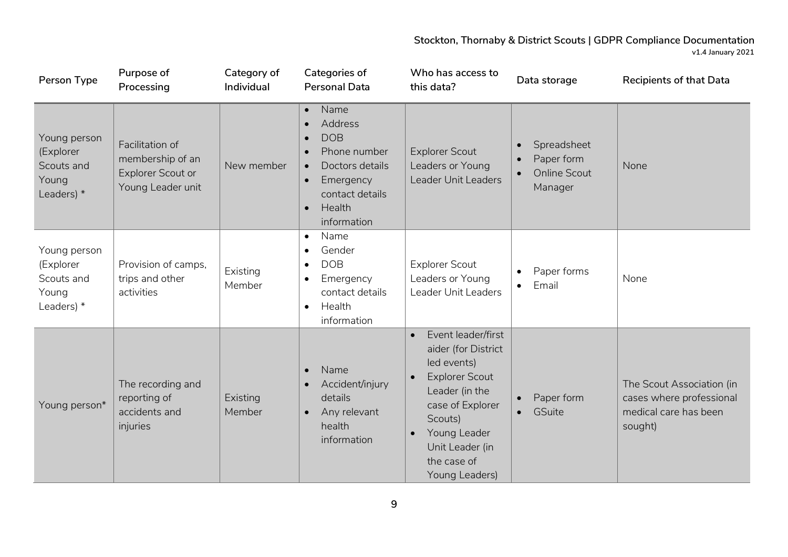| Person Type                                                      | Purpose of<br>Processing                                                             | Category of<br>Individual | Categories of<br><b>Personal Data</b>                                                                                                                                                                                | Who has access to<br>this data?                                                                                                                                                                                     | Data storage                                                                                       | <b>Recipients of that Data</b>                                                            |
|------------------------------------------------------------------|--------------------------------------------------------------------------------------|---------------------------|----------------------------------------------------------------------------------------------------------------------------------------------------------------------------------------------------------------------|---------------------------------------------------------------------------------------------------------------------------------------------------------------------------------------------------------------------|----------------------------------------------------------------------------------------------------|-------------------------------------------------------------------------------------------|
| Young person<br>(Explorer<br>Scouts and<br>Young<br>Leaders) *   | Facilitation of<br>membership of an<br><b>Explorer Scout or</b><br>Young Leader unit | New member                | Name<br>$\bullet$<br>Address<br>$\bullet$<br><b>DOB</b><br>$\bullet$<br>Phone number<br>$\bullet$<br>Doctors details<br>$\bullet$<br>Emergency<br>$\bullet$<br>contact details<br>Health<br>$\bullet$<br>information | <b>Explorer Scout</b><br>Leaders or Young<br>Leader Unit Leaders                                                                                                                                                    | Spreadsheet<br>$\bullet$<br>Paper form<br>$\bullet$<br><b>Online Scout</b><br>$\bullet$<br>Manager | None                                                                                      |
| Young person<br>(Explorer<br>Scouts and<br>Young<br>Leaders) $*$ | Provision of camps,<br>trips and other<br>activities                                 | Existing<br>Member        | Name<br>$\bullet$<br>Gender<br>$\bullet$<br><b>DOB</b><br>$\bullet$<br>Emergency<br>$\bullet$<br>contact details<br>Health<br>$\bullet$<br>information                                                               | <b>Explorer Scout</b><br>Leaders or Young<br>Leader Unit Leaders                                                                                                                                                    | Paper forms<br>$\bullet$<br>Email<br>$\bullet$                                                     | None                                                                                      |
| Young person*                                                    | The recording and<br>reporting of<br>accidents and<br>injuries                       | Existing<br>Member        | Name<br>$\bullet$<br>Accident/injury<br>details<br>Any relevant<br>$\bullet$<br>health<br>information                                                                                                                | Event leader/first<br>$\bullet$<br>aider (for District<br>led events)<br><b>Explorer Scout</b><br>Leader (in the<br>case of Explorer<br>Scouts)<br>Young Leader<br>Unit Leader (in<br>the case of<br>Young Leaders) | Paper form<br>GSuite<br>$\bullet$                                                                  | The Scout Association (in<br>cases where professional<br>medical care has been<br>sought) |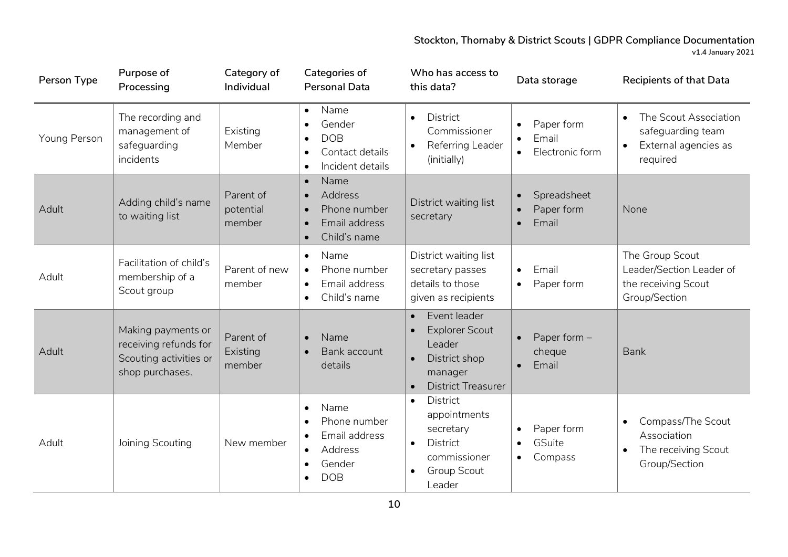| Person Type  | Purpose of<br>Processing                                                                 | Category of<br>Individual        | Categories of<br><b>Personal Data</b>                                                                                                    | Who has access to<br>this data?                                                                                                    | Data storage                                                                  | <b>Recipients of that Data</b>                                                                     |
|--------------|------------------------------------------------------------------------------------------|----------------------------------|------------------------------------------------------------------------------------------------------------------------------------------|------------------------------------------------------------------------------------------------------------------------------------|-------------------------------------------------------------------------------|----------------------------------------------------------------------------------------------------|
| Young Person | The recording and<br>management of<br>safeguarding<br>incidents                          | Existing<br>Member               | Name<br>Gender<br><b>DOB</b><br>$\bullet$<br>Contact details<br>$\bullet$<br>Incident details<br>$\bullet$                               | District<br>$\bullet$<br>Commissioner<br>Referring Leader<br>(initially)                                                           | Paper form<br>$\bullet$<br>Email<br>$\bullet$<br>Electronic form<br>$\bullet$ | The Scout Association<br>$\bullet$<br>safeguarding team<br>External agencies as<br>required        |
| Adult        | Adding child's name<br>to waiting list                                                   | Parent of<br>potential<br>member | Name<br>$\bullet$<br><b>Address</b><br>$\bullet$<br>Phone number<br>$\bullet$<br>Email address<br>$\bullet$<br>Child's name<br>$\bullet$ | District waiting list<br>secretary                                                                                                 | Spreadsheet<br>$\bullet$<br>Paper form<br>$\bullet$<br>Email<br>$\bullet$     | None                                                                                               |
| Adult        | Facilitation of child's<br>membership of a<br>Scout group                                | Parent of new<br>member          | Name<br>$\bullet$<br>Phone number<br>$\bullet$<br>Email address<br>$\bullet$<br>Child's name<br>$\bullet$                                | District waiting list<br>secretary passes<br>details to those<br>given as recipients                                               | Email<br>$\bullet$<br>Paper form<br>$\bullet$                                 | The Group Scout<br>Leader/Section Leader of<br>the receiving Scout<br>Group/Section                |
| Adult        | Making payments or<br>receiving refunds for<br>Scouting activities or<br>shop purchases. | Parent of<br>Existing<br>member  | Name<br>$\bullet$<br>Bank account<br>$\bullet$<br>details                                                                                | Event leader<br>$\bullet$<br><b>Explorer Scout</b><br>Leader<br>District shop<br>manager<br><b>District Treasurer</b><br>$\bullet$ | Paper form -<br>$\bullet$<br>cheque<br>Email<br>$\bullet$                     | <b>Bank</b>                                                                                        |
| Adult        | Joining Scouting                                                                         | New member                       | Name<br>$\bullet$<br>Phone number<br>$\bullet$<br>Email address<br>Address<br>$\bullet$<br>Gender<br><b>DOB</b>                          | District<br>$\bullet$<br>appointments<br>secretary<br><b>District</b><br>$\bullet$<br>commissioner<br><b>Group Scout</b><br>Leader | Paper form<br>$\bullet$<br>GSuite<br>$\bullet$<br>Compass<br>$\bullet$        | Compass/The Scout<br>$\bullet$<br>Association<br>The receiving Scout<br>$\bullet$<br>Group/Section |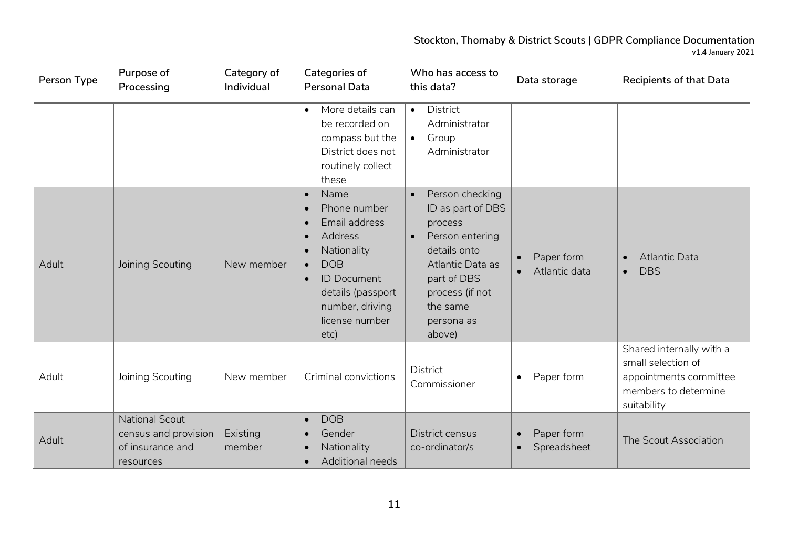| Person Type | Purpose of<br>Processing                                                | Category of<br>Individual | Categories of<br><b>Personal Data</b>                                                                                                                                                                                                               | Who has access to<br>this data?                                                                                                                                                           | Data storage                                          | <b>Recipients of that Data</b>                                                                                  |
|-------------|-------------------------------------------------------------------------|---------------------------|-----------------------------------------------------------------------------------------------------------------------------------------------------------------------------------------------------------------------------------------------------|-------------------------------------------------------------------------------------------------------------------------------------------------------------------------------------------|-------------------------------------------------------|-----------------------------------------------------------------------------------------------------------------|
|             |                                                                         |                           | More details can<br>$\bullet$<br>be recorded on<br>compass but the<br>District does not<br>routinely collect<br>these                                                                                                                               | District<br>$\bullet$<br>Administrator<br>Group<br>$\bullet$<br>Administrator                                                                                                             |                                                       |                                                                                                                 |
| Adult       | Joining Scouting                                                        | New member                | Name<br>$\bullet$<br>Phone number<br>$\bullet$<br>Email address<br>$\bullet$<br>Address<br>$\bullet$<br>Nationality<br><b>DOB</b><br>$\bullet$<br><b>ID Document</b><br>$\bullet$<br>details (passport<br>number, driving<br>license number<br>etc) | Person checking<br>ID as part of DBS<br>process<br>Person entering<br>$\bullet$<br>details onto<br>Atlantic Data as<br>part of DBS<br>process (if not<br>the same<br>persona as<br>above) | Paper form<br>$\bullet$<br>Atlantic data<br>$\bullet$ | <b>Atlantic Data</b><br>$\bullet$<br><b>DBS</b><br>$\bullet$                                                    |
| Adult       | Joining Scouting                                                        | New member                | Criminal convictions                                                                                                                                                                                                                                | <b>District</b><br>Commissioner                                                                                                                                                           | Paper form<br>$\bullet$                               | Shared internally with a<br>small selection of<br>appointments committee<br>members to determine<br>suitability |
| Adult       | National Scout<br>census and provision<br>of insurance and<br>resources | Existing<br>member        | <b>DOB</b><br>$\bullet$<br>Gender<br>$\bullet$<br>Nationality<br>$\bullet$<br>Additional needs<br>$\bullet$                                                                                                                                         | District census<br>co-ordinator/s                                                                                                                                                         | Paper form<br>$\bullet$<br>Spreadsheet<br>$\bullet$   | The Scout Association                                                                                           |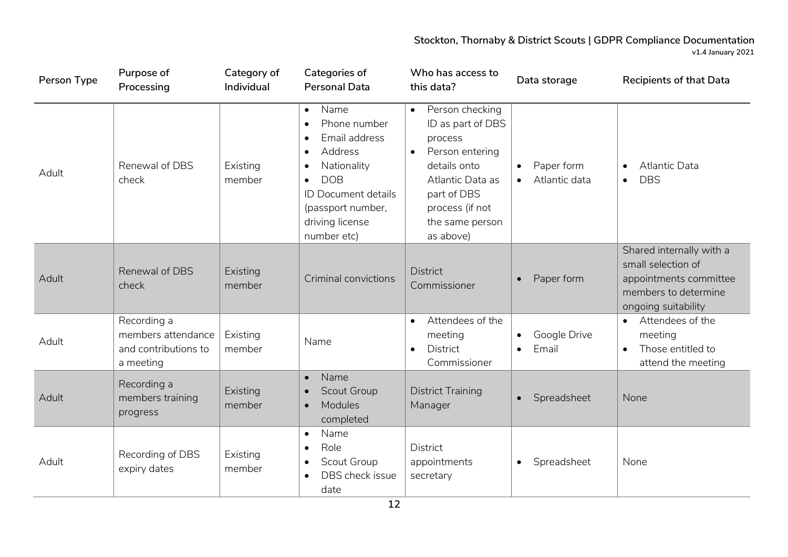| Person Type | Purpose of<br>Processing                                               | Category of<br>Individual | Categories of<br><b>Personal Data</b>                                                                                                                                                                                               | Who has access to<br>this data?                                                                                                                                                                    | Data storage                                          | <b>Recipients of that Data</b>                                                                                          |
|-------------|------------------------------------------------------------------------|---------------------------|-------------------------------------------------------------------------------------------------------------------------------------------------------------------------------------------------------------------------------------|----------------------------------------------------------------------------------------------------------------------------------------------------------------------------------------------------|-------------------------------------------------------|-------------------------------------------------------------------------------------------------------------------------|
| Adult       | Renewal of DBS<br>check                                                | Existing<br>member        | Name<br>$\bullet$<br>Phone number<br>$\bullet$<br>Email address<br>$\bullet$<br>Address<br>$\bullet$<br>Nationality<br><b>DOB</b><br>$\bullet$<br><b>ID Document details</b><br>(passport number,<br>driving license<br>number etc) | Person checking<br>$\bullet$<br>ID as part of DBS<br>process<br>Person entering<br>$\bullet$<br>details onto<br>Atlantic Data as<br>part of DBS<br>process (if not<br>the same person<br>as above) | Paper form<br>$\bullet$<br>Atlantic data<br>$\bullet$ | <b>Atlantic Data</b><br>$\bullet$<br><b>DBS</b><br>$\bullet$                                                            |
| Adult       | Renewal of DBS<br>check                                                | Existing<br>member        | Criminal convictions                                                                                                                                                                                                                | <b>District</b><br>Commissioner                                                                                                                                                                    | Paper form                                            | Shared internally with a<br>small selection of<br>appointments committee<br>members to determine<br>ongoing suitability |
| Adult       | Recording a<br>members attendance<br>and contributions to<br>a meeting | Existing<br>member        | Name                                                                                                                                                                                                                                | Attendees of the<br>$\bullet$<br>meeting<br><b>District</b><br>Commissioner                                                                                                                        | Google Drive<br>Email                                 | Attendees of the<br>$\bullet$<br>meeting<br>Those entitled to<br>attend the meeting                                     |
| Adult       | Recording a<br>members training<br>progress                            | Existing<br>member        | Name<br>$\bullet$<br>Scout Group<br>Modules<br>completed                                                                                                                                                                            | <b>District Training</b><br>Manager                                                                                                                                                                | Spreadsheet<br>$\bullet$                              | None                                                                                                                    |
| Adult       | Recording of DBS<br>expiry dates                                       | Existing<br>member        | Name<br>$\bullet$<br>Role<br>$\bullet$<br>Scout Group<br>$\bullet$<br>DBS check issue<br>date                                                                                                                                       | <b>District</b><br>appointments<br>secretary                                                                                                                                                       | Spreadsheet<br>$\bullet$                              | None                                                                                                                    |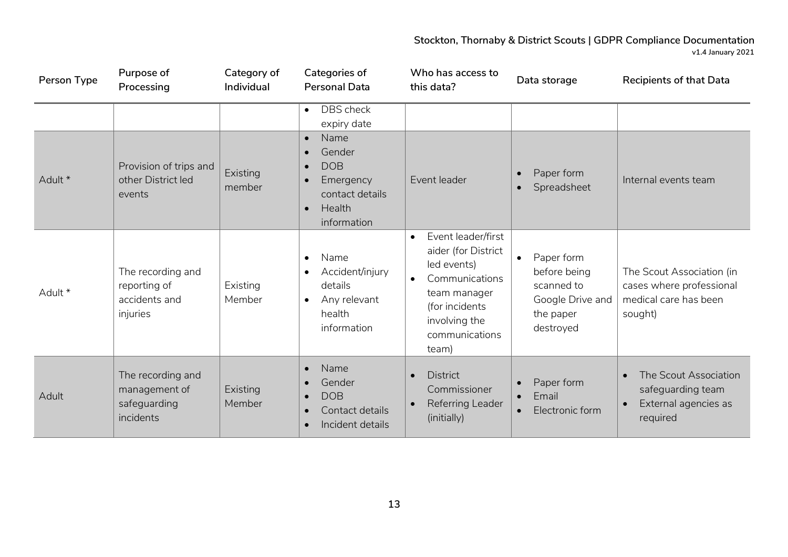| Person Type | Purpose of<br>Processing                                        | Category of<br>Individual | Categories of<br><b>Personal Data</b>                                                                                                     | Who has access to<br>this data?                                                                                                                                       | Data storage                                                                                        | <b>Recipients of that Data</b>                                                              |
|-------------|-----------------------------------------------------------------|---------------------------|-------------------------------------------------------------------------------------------------------------------------------------------|-----------------------------------------------------------------------------------------------------------------------------------------------------------------------|-----------------------------------------------------------------------------------------------------|---------------------------------------------------------------------------------------------|
|             |                                                                 |                           | DBS check<br>$\bullet$<br>expiry date                                                                                                     |                                                                                                                                                                       |                                                                                                     |                                                                                             |
| Adult *     | Provision of trips and<br>other District led<br>events          | Existing<br>member        | Name<br>$\bullet$<br>Gender<br>$\bullet$<br><b>DOB</b><br>$\bullet$<br>Emergency<br>contact details<br>Health<br>$\bullet$<br>information | Event leader                                                                                                                                                          | Paper form<br>$\bullet$<br>Spreadsheet<br>$\bullet$                                                 | Internal events team                                                                        |
| Adult *     | The recording and<br>reporting of<br>accidents and<br>injuries  | Existing<br>Member        | Name<br>$\bullet$<br>Accident/injury<br>details<br>Any relevant<br>$\bullet$<br>health<br>information                                     | Event leader/first<br>$\bullet$<br>aider (for District<br>led events)<br>Communications<br>team manager<br>(for incidents<br>involving the<br>communications<br>team) | Paper form<br>$\bullet$<br>before being<br>scanned to<br>Google Drive and<br>the paper<br>destroyed | The Scout Association (in<br>cases where professional<br>medical care has been<br>sought)   |
| Adult       | The recording and<br>management of<br>safeguarding<br>incidents | Existing<br>Member        | Name<br>$\bullet$<br>Gender<br><b>DOB</b><br>Contact details<br>Incident details<br>$\bullet$                                             | <b>District</b><br>$\bullet$<br>Commissioner<br>Referring Leader<br>(initially)                                                                                       | Paper form<br>$\bullet$<br>Email<br>$\bullet$<br>Electronic form<br>$\bullet$                       | The Scout Association<br>$\bullet$<br>safeguarding team<br>External agencies as<br>required |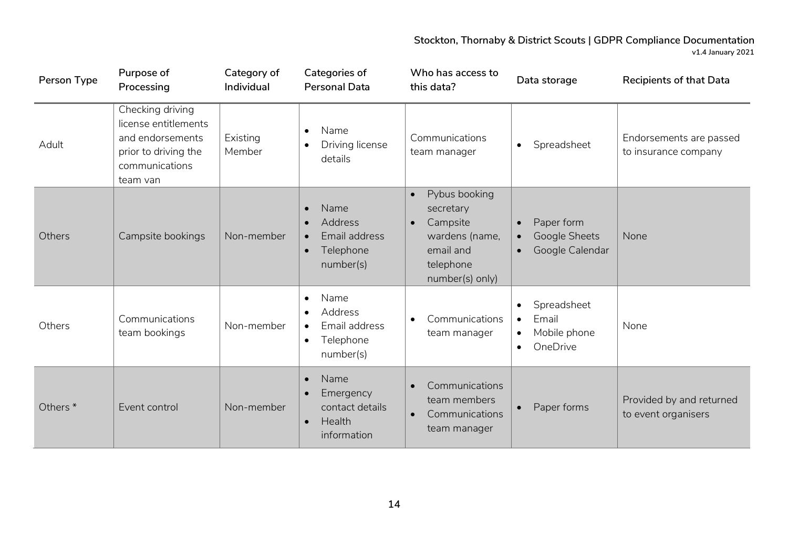| Person Type         | Purpose of<br>Processing                                                                                           | Category of<br>Individual | Categories of<br><b>Personal Data</b>                                                                          | Who has access to<br>this data?                                                                                                 | Data storage                                                                            | <b>Recipients of that Data</b>                  |
|---------------------|--------------------------------------------------------------------------------------------------------------------|---------------------------|----------------------------------------------------------------------------------------------------------------|---------------------------------------------------------------------------------------------------------------------------------|-----------------------------------------------------------------------------------------|-------------------------------------------------|
| Adult               | Checking driving<br>license entitlements<br>and endorsements<br>prior to driving the<br>communications<br>team van | Existing<br>Member        | Name<br>$\bullet$<br>Driving license<br>details                                                                | Communications<br>team manager                                                                                                  | Spreadsheet<br>$\bullet$                                                                | Endorsements are passed<br>to insurance company |
| Others              | Campsite bookings                                                                                                  | Non-member                | Name<br>$\bullet$<br>Address<br>$\bullet$<br>Email address<br>$\bullet$<br>Telephone<br>$\bullet$<br>number(s) | Pybus booking<br>$\bullet$<br>secretary<br>Campsite<br>$\bullet$<br>wardens (name,<br>email and<br>telephone<br>number(s) only) | Paper form<br>$\bullet$<br>Google Sheets<br>$\bullet$<br>Google Calendar<br>$\bullet$   | None                                            |
| Others              | Communications<br>team bookings                                                                                    | Non-member                | Name<br>$\bullet$<br>Address<br>Email address<br>$\bullet$<br>Telephone<br>$\bullet$<br>number(s)              | Communications<br>$\bullet$<br>team manager                                                                                     | Spreadsheet<br>Email<br>$\bullet$<br>Mobile phone<br>$\bullet$<br>OneDrive<br>$\bullet$ | None                                            |
| Others <sup>*</sup> | Event control                                                                                                      | Non-member                | Name<br>$\bullet$<br>Emergency<br>$\bullet$<br>contact details<br>Health<br>$\bullet$<br>information           | Communications<br>team members<br>Communications<br>$\bullet$<br>team manager                                                   | Paper forms<br>$\bullet$                                                                | Provided by and returned<br>to event organisers |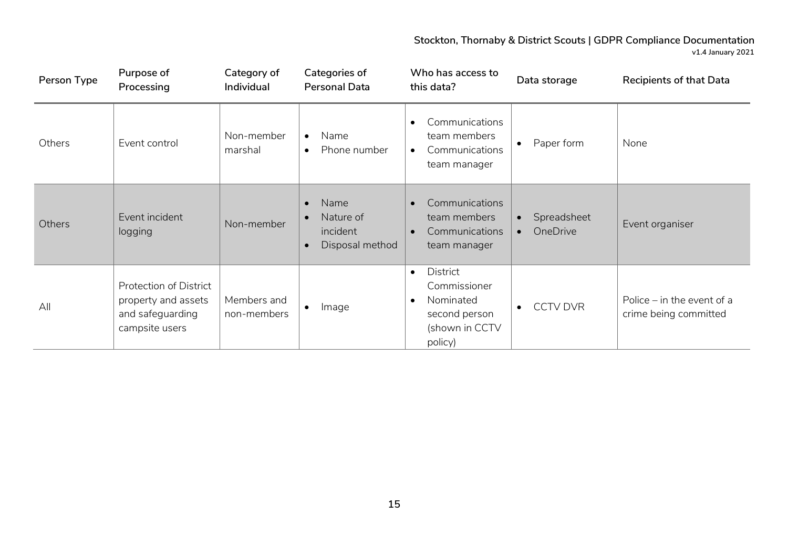| Person Type | Purpose of<br>Processing                                                            | Category of<br>Individual  | Categories of<br><b>Personal Data</b>                                                   | Who has access to<br>this data?                                                                               | Data storage                                      | <b>Recipients of that Data</b>                        |
|-------------|-------------------------------------------------------------------------------------|----------------------------|-----------------------------------------------------------------------------------------|---------------------------------------------------------------------------------------------------------------|---------------------------------------------------|-------------------------------------------------------|
| Others      | Event control                                                                       | Non-member<br>marshal      | Name<br>$\bullet$<br>Phone number<br>$\bullet$                                          | Communications<br>$\bullet$<br>team members<br>Communications<br>$\bullet$<br>team manager                    | Paper form<br>$\bullet$                           | None                                                  |
| Others      | Event incident<br>logging                                                           | Non-member                 | Name<br>$\bullet$<br>Nature of<br>$\bullet$<br>incident<br>Disposal method<br>$\bullet$ | Communications<br>$\bullet$<br>team members<br>Communications<br>team manager                                 | Spreadsheet<br>$\bullet$<br>OneDrive<br>$\bullet$ | Event organiser                                       |
| All         | Protection of District<br>property and assets<br>and safeguarding<br>campsite users | Members and<br>non-members | Image                                                                                   | District<br>$\bullet$<br>Commissioner<br>Nominated<br>$\bullet$<br>second person<br>(shown in CCTV<br>policy) | <b>CCTV DVR</b><br>$\bullet$                      | Police $-$ in the event of a<br>crime being committed |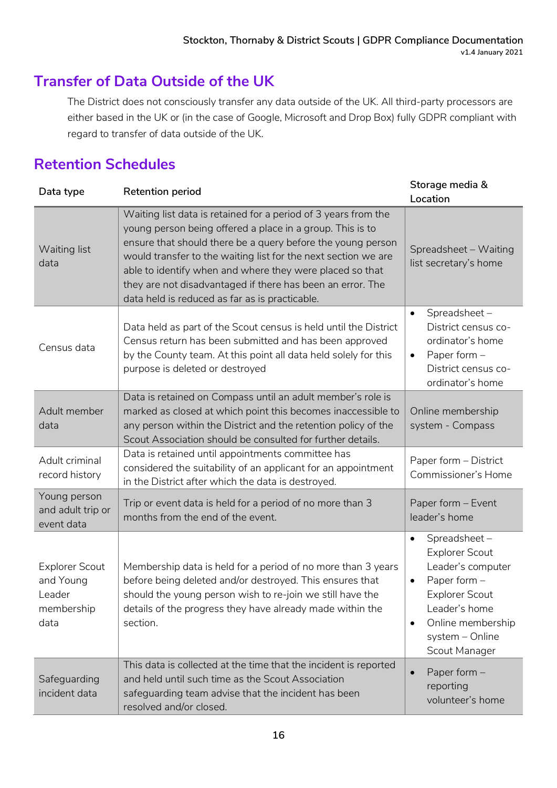# **Transfer of Data Outside of the UK**

The District does not consciously transfer any data outside of the UK. All third-party processors are either based in the UK or (in the case of Google, Microsoft and Drop Box) fully GDPR compliant with regard to transfer of data outside of the UK.

# **Retention Schedules**

| Data type                                                          | <b>Retention period</b>                                                                                                                                                                                                                                                                                                                                                                                                                  | Storage media &<br>Location                                                                                                                                                                                          |
|--------------------------------------------------------------------|------------------------------------------------------------------------------------------------------------------------------------------------------------------------------------------------------------------------------------------------------------------------------------------------------------------------------------------------------------------------------------------------------------------------------------------|----------------------------------------------------------------------------------------------------------------------------------------------------------------------------------------------------------------------|
| Waiting list<br>data                                               | Waiting list data is retained for a period of 3 years from the<br>young person being offered a place in a group. This is to<br>ensure that should there be a query before the young person<br>would transfer to the waiting list for the next section we are<br>able to identify when and where they were placed so that<br>they are not disadvantaged if there has been an error. The<br>data held is reduced as far as is practicable. | Spreadsheet - Waiting<br>list secretary's home                                                                                                                                                                       |
| Census data                                                        | Data held as part of the Scout census is held until the District<br>Census return has been submitted and has been approved<br>by the County team. At this point all data held solely for this<br>purpose is deleted or destroyed                                                                                                                                                                                                         | Spreadsheet-<br>$\bullet$<br>District census co-<br>ordinator's home<br>Paper form $-$<br>$\bullet$<br>District census co-<br>ordinator's home                                                                       |
| Adult member<br>data                                               | Data is retained on Compass until an adult member's role is<br>marked as closed at which point this becomes inaccessible to<br>any person within the District and the retention policy of the<br>Scout Association should be consulted for further details.                                                                                                                                                                              | Online membership<br>system - Compass                                                                                                                                                                                |
| Adult criminal<br>record history                                   | Data is retained until appointments committee has<br>considered the suitability of an applicant for an appointment<br>in the District after which the data is destroyed.                                                                                                                                                                                                                                                                 | Paper form - District<br>Commissioner's Home                                                                                                                                                                         |
| Young person<br>and adult trip or<br>event data                    | Trip or event data is held for a period of no more than 3<br>months from the end of the event.                                                                                                                                                                                                                                                                                                                                           | Paper form - Event<br>leader's home                                                                                                                                                                                  |
| <b>Explorer Scout</b><br>and Young<br>Leader<br>membership<br>data | Membership data is held for a period of no more than 3 years<br>before being deleted and/or destroyed. This ensures that<br>should the young person wish to re-join we still have the<br>details of the progress they have already made within the<br>section.                                                                                                                                                                           | Spreadsheet-<br>$\bullet$<br><b>Explorer Scout</b><br>Leader's computer<br>Paper form -<br>$\bullet$<br><b>Explorer Scout</b><br>Leader's home<br>Online membership<br>$\bullet$<br>system - Online<br>Scout Manager |
| Safeguarding<br>incident data                                      | This data is collected at the time that the incident is reported<br>and held until such time as the Scout Association<br>safeguarding team advise that the incident has been<br>resolved and/or closed.                                                                                                                                                                                                                                  | Paper form -<br>$\bullet$<br>reporting<br>volunteer's home                                                                                                                                                           |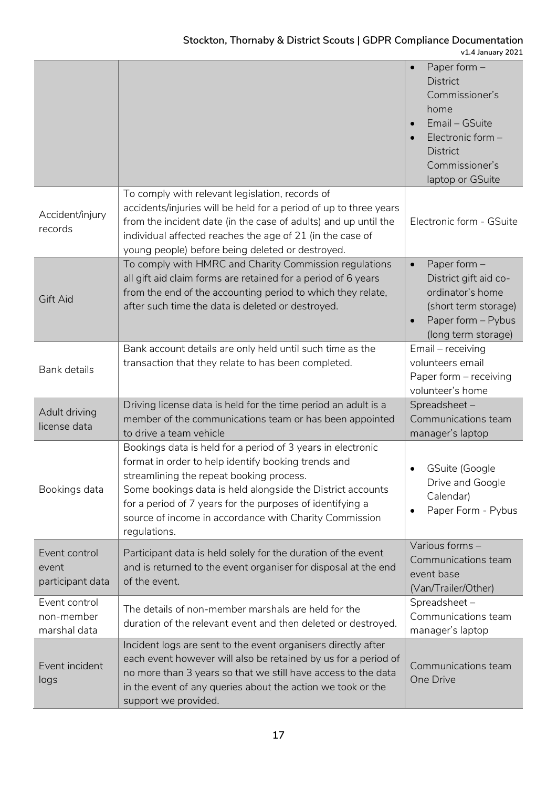|                                             |                                                                                                                                                                                                                                                                                                                                                                     | Paper form $-$<br>$\bullet$<br><b>District</b><br>Commissioner's<br>home<br>Email - GSuite<br>Electronic form -<br>$\bullet$<br><b>District</b><br>Commissioner's<br>laptop or GSuite |
|---------------------------------------------|---------------------------------------------------------------------------------------------------------------------------------------------------------------------------------------------------------------------------------------------------------------------------------------------------------------------------------------------------------------------|---------------------------------------------------------------------------------------------------------------------------------------------------------------------------------------|
| Accident/injury<br>records                  | To comply with relevant legislation, records of<br>accidents/injuries will be held for a period of up to three years<br>from the incident date (in the case of adults) and up until the<br>individual affected reaches the age of 21 (in the case of<br>young people) before being deleted or destroyed.                                                            | Electronic form - GSuite                                                                                                                                                              |
| Gift Aid                                    | To comply with HMRC and Charity Commission regulations<br>all gift aid claim forms are retained for a period of 6 years<br>from the end of the accounting period to which they relate,<br>after such time the data is deleted or destroyed.                                                                                                                         | Paper form -<br>$\bullet$<br>District gift aid co-<br>ordinator's home<br>(short term storage)<br>Paper form - Pybus<br>(long term storage)                                           |
| Bank details                                | Bank account details are only held until such time as the<br>transaction that they relate to has been completed.                                                                                                                                                                                                                                                    | Email - receiving<br>volunteers email<br>Paper form - receiving<br>volunteer's home                                                                                                   |
| Adult driving<br>license data               | Driving license data is held for the time period an adult is a<br>member of the communications team or has been appointed<br>to drive a team vehicle                                                                                                                                                                                                                | Spreadsheet-<br>Communications team<br>manager's laptop                                                                                                                               |
| Bookings data                               | Bookings data is held for a period of 3 years in electronic<br>format in order to help identify booking trends and<br>streamlining the repeat booking process.<br>Some bookings data is held alongside the District accounts<br>for a period of 7 years for the purposes of identifying a<br>source of income in accordance with Charity Commission<br>regulations. | GSuite (Google<br>$\bullet$<br>Drive and Google<br>Calendar)<br>Paper Form - Pybus                                                                                                    |
| Event control<br>event<br>participant data  | Participant data is held solely for the duration of the event<br>and is returned to the event organiser for disposal at the end<br>of the event.                                                                                                                                                                                                                    | Various forms -<br>Communications team<br>event base<br>(Van/Trailer/Other)                                                                                                           |
| Event control<br>non-member<br>marshal data | The details of non-member marshals are held for the<br>duration of the relevant event and then deleted or destroyed.                                                                                                                                                                                                                                                | Spreadsheet-<br>Communications team<br>manager's laptop                                                                                                                               |
| Event incident<br>logs                      | Incident logs are sent to the event organisers directly after<br>each event however will also be retained by us for a period of<br>no more than 3 years so that we still have access to the data<br>in the event of any queries about the action we took or the<br>support we provided.                                                                             | Communications team<br>One Drive                                                                                                                                                      |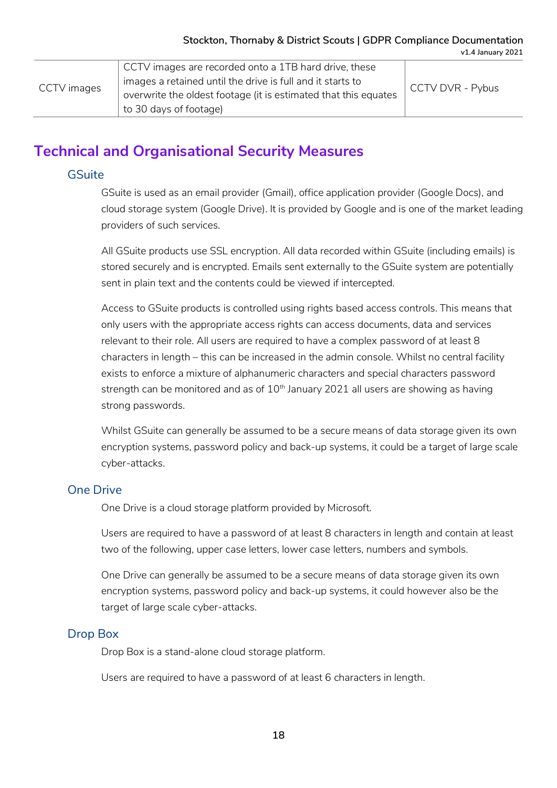|             | CCTV images are recorded onto a 1TB hard drive, these           |                  |
|-------------|-----------------------------------------------------------------|------------------|
| CCTV images | images a retained until the drive is full and it starts to      | CCTV DVR - Pybus |
|             | overwrite the oldest footage (it is estimated that this equates |                  |
|             | to 30 days of footage)                                          |                  |

# **Technical and Organisational Security Measures**

#### **GSuite**

GSuite is used as an email provider (Gmail), office application provider (Google Docs), and cloud storage system (Google Drive). It is provided by Google and is one of the market leading providers of such services.

All GSuite products use SSL encryption. All data recorded within GSuite (including emails) is stored securely and is encrypted. Emails sent externally to the GSuite system are potentially sent in plain text and the contents could be viewed if intercepted.

Access to GSuite products is controlled using rights based access controls. This means that only users with the appropriate access rights can access documents, data and services relevant to their role. All users are required to have a complex password of at least 8 characters in length – this can be increased in the admin console. Whilst no central facility exists to enforce a mixture of alphanumeric characters and special characters password strength can be monitored and as of  $10<sup>th</sup>$  January 2021 all users are showing as having strong passwords.

Whilst GSuite can generally be assumed to be a secure means of data storage given its own encryption systems, password policy and back-up systems, it could be a target of large scale cyber-attacks.

### One Drive

One Drive is a cloud storage platform provided by Microsoft.

Users are required to have a password of at least 8 characters in length and contain at least two of the following, upper case letters, lower case letters, numbers and symbols.

One Drive can generally be assumed to be a secure means of data storage given its own encryption systems, password policy and back-up systems, it could however also be the target of large scale cyber-attacks.

### Drop Box

Drop Box is a stand-alone cloud storage platform.

Users are required to have a password of at least 6 characters in length.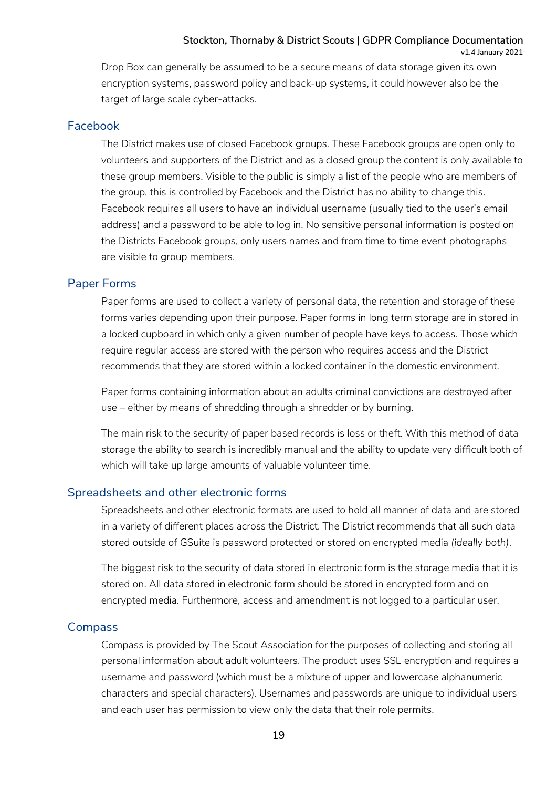**v1.4 January 2021**

Drop Box can generally be assumed to be a secure means of data storage given its own encryption systems, password policy and back-up systems, it could however also be the target of large scale cyber-attacks.

#### Facebook

The District makes use of closed Facebook groups. These Facebook groups are open only to volunteers and supporters of the District and as a closed group the content is only available to these group members. Visible to the public is simply a list of the people who are members of the group, this is controlled by Facebook and the District has no ability to change this. Facebook requires all users to have an individual username (usually tied to the user's email address) and a password to be able to log in. No sensitive personal information is posted on the Districts Facebook groups, only users names and from time to time event photographs are visible to group members.

#### Paper Forms

Paper forms are used to collect a variety of personal data, the retention and storage of these forms varies depending upon their purpose. Paper forms in long term storage are in stored in a locked cupboard in which only a given number of people have keys to access. Those which require regular access are stored with the person who requires access and the District recommends that they are stored within a locked container in the domestic environment.

Paper forms containing information about an adults criminal convictions are destroyed after use – either by means of shredding through a shredder or by burning.

The main risk to the security of paper based records is loss or theft. With this method of data storage the ability to search is incredibly manual and the ability to update very difficult both of which will take up large amounts of valuable volunteer time.

### Spreadsheets and other electronic forms

Spreadsheets and other electronic formats are used to hold all manner of data and are stored in a variety of different places across the District. The District recommends that all such data stored outside of GSuite is password protected or stored on encrypted media *(ideally both)*.

The biggest risk to the security of data stored in electronic form is the storage media that it is stored on. All data stored in electronic form should be stored in encrypted form and on encrypted media. Furthermore, access and amendment is not logged to a particular user.

### **Compass**

Compass is provided by The Scout Association for the purposes of collecting and storing all personal information about adult volunteers. The product uses SSL encryption and requires a username and password (which must be a mixture of upper and lowercase alphanumeric characters and special characters). Usernames and passwords are unique to individual users and each user has permission to view only the data that their role permits.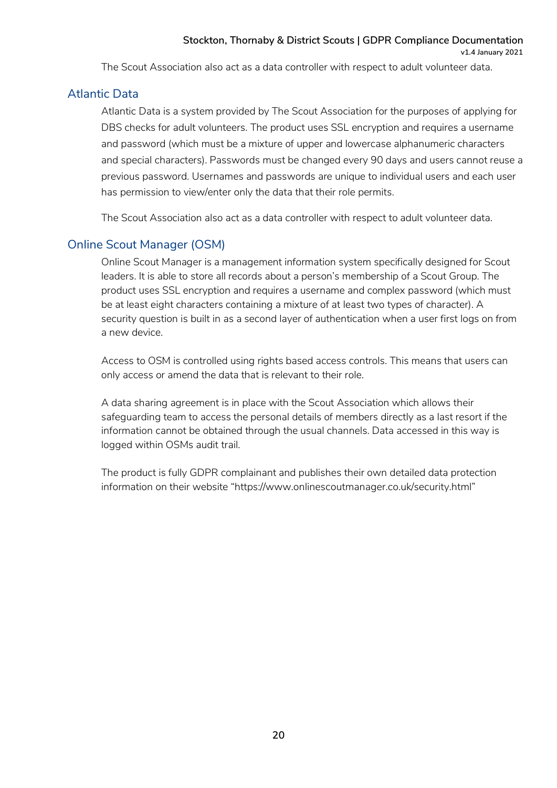The Scout Association also act as a data controller with respect to adult volunteer data.

#### Atlantic Data

Atlantic Data is a system provided by The Scout Association for the purposes of applying for DBS checks for adult volunteers. The product uses SSL encryption and requires a username and password (which must be a mixture of upper and lowercase alphanumeric characters and special characters). Passwords must be changed every 90 days and users cannot reuse a previous password. Usernames and passwords are unique to individual users and each user has permission to view/enter only the data that their role permits.

The Scout Association also act as a data controller with respect to adult volunteer data.

### Online Scout Manager (OSM)

Online Scout Manager is a management information system specifically designed for Scout leaders. It is able to store all records about a person's membership of a Scout Group. The product uses SSL encryption and requires a username and complex password (which must be at least eight characters containing a mixture of at least two types of character). A security question is built in as a second layer of authentication when a user first logs on from a new device.

Access to OSM is controlled using rights based access controls. This means that users can only access or amend the data that is relevant to their role.

A data sharing agreement is in place with the Scout Association which allows their safeguarding team to access the personal details of members directly as a last resort if the information cannot be obtained through the usual channels. Data accessed in this way is logged within OSMs audit trail.

The product is fully GDPR complainant and publishes their own detailed data protection information on their website "https://www.onlinescoutmanager.co.uk/security.html"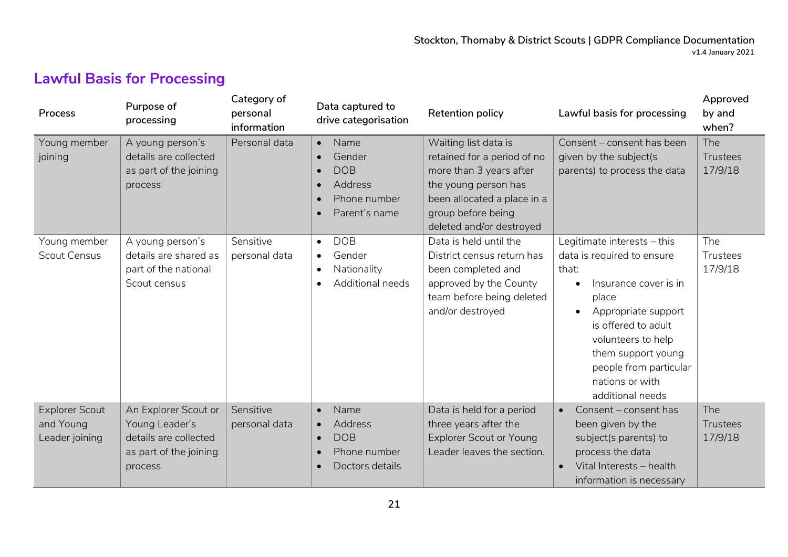# **Lawful Basis for Processing**

| Process                                              | Purpose of<br>processing                                                                             | Category of<br>personal<br>information | Data captured to<br>drive categorisation                                                                    | Retention policy                                                                                                                                                                        | Lawful basis for processing                                                                                                                                                                                                                                                  | Approved<br>by and<br>when?       |
|------------------------------------------------------|------------------------------------------------------------------------------------------------------|----------------------------------------|-------------------------------------------------------------------------------------------------------------|-----------------------------------------------------------------------------------------------------------------------------------------------------------------------------------------|------------------------------------------------------------------------------------------------------------------------------------------------------------------------------------------------------------------------------------------------------------------------------|-----------------------------------|
| Young member<br>joining                              | A young person's<br>details are collected<br>as part of the joining<br>process                       | Personal data                          | Name<br>$\bullet$<br>Gender<br><b>DOB</b><br>Address<br>Phone number<br>Parent's name                       | Waiting list data is<br>retained for a period of no<br>more than 3 years after<br>the young person has<br>been allocated a place in a<br>group before being<br>deleted and/or destroyed | Consent - consent has been<br>given by the subject(s<br>parents) to process the data                                                                                                                                                                                         | The<br><b>Trustees</b><br>17/9/18 |
| Young member<br><b>Scout Census</b>                  | A young person's<br>details are shared as<br>part of the national<br>Scout census                    | Sensitive<br>personal data             | <b>DOB</b><br>$\bullet$<br>Gender<br>$\bullet$<br>Nationality<br>$\bullet$<br>Additional needs<br>$\bullet$ | Data is held until the<br>District census return has<br>been completed and<br>approved by the County<br>team before being deleted<br>and/or destroyed                                   | Legitimate interests - this<br>data is required to ensure<br>that:<br>Insurance cover is in<br>place<br>Appropriate support<br>$\bullet$<br>is offered to adult<br>volunteers to help<br>them support young<br>people from particular<br>nations or with<br>additional needs | The<br>Trustees<br>17/9/18        |
| <b>Explorer Scout</b><br>and Young<br>Leader joining | An Explorer Scout or<br>Young Leader's<br>details are collected<br>as part of the joining<br>process | Sensitive<br>personal data             | Name<br>$\bullet$<br>Address<br>$\bullet$<br><b>DOB</b><br>Phone number<br>Doctors details                  | Data is held for a period<br>three years after the<br><b>Explorer Scout or Young</b><br>Leader leaves the section.                                                                      | Consent - consent has<br>$\bullet$<br>been given by the<br>subject(s parents) to<br>process the data<br>Vital Interests - health<br>$\bullet$<br>information is necessary                                                                                                    | The<br>Trustees<br>17/9/18        |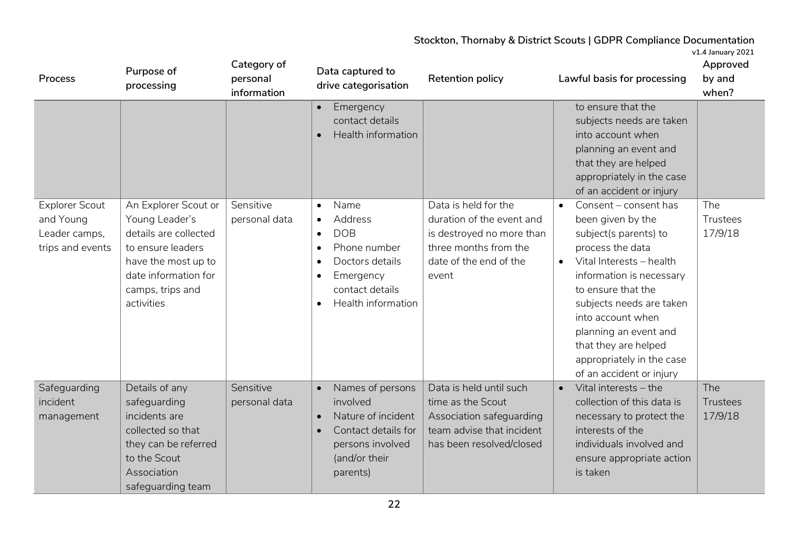| Process                                                                 | Purpose of<br>processing                                                                                                                                              | Category of<br>personal<br>information | Data captured to<br>drive categorisation                                                                                                                                                                                                                                                    | Retention policy                                                                                                                           | Lawful basis for processing                                                                                                                                                                                                                                                                                                                                                                                                                                                                                       | Approved<br>by and<br>when? |
|-------------------------------------------------------------------------|-----------------------------------------------------------------------------------------------------------------------------------------------------------------------|----------------------------------------|---------------------------------------------------------------------------------------------------------------------------------------------------------------------------------------------------------------------------------------------------------------------------------------------|--------------------------------------------------------------------------------------------------------------------------------------------|-------------------------------------------------------------------------------------------------------------------------------------------------------------------------------------------------------------------------------------------------------------------------------------------------------------------------------------------------------------------------------------------------------------------------------------------------------------------------------------------------------------------|-----------------------------|
| <b>Explorer Scout</b><br>and Young<br>Leader camps,<br>trips and events | An Explorer Scout or<br>Young Leader's<br>details are collected<br>to ensure leaders<br>have the most up to<br>date information for<br>camps, trips and<br>activities | Sensitive<br>personal data             | Emergency<br>$\bullet$<br>contact details<br>Health information<br>Name<br>$\bullet$<br><b>Address</b><br>$\bullet$<br><b>DOB</b><br>$\bullet$<br>Phone number<br>$\bullet$<br>Doctors details<br>$\bullet$<br>Emergency<br>$\bullet$<br>contact details<br>Health information<br>$\bullet$ | Data is held for the<br>duration of the event and<br>is destroyed no more than<br>three months from the<br>date of the end of the<br>event | to ensure that the<br>subjects needs are taken<br>into account when<br>planning an event and<br>that they are helped<br>appropriately in the case<br>of an accident or injury<br>Consent - consent has<br>been given by the<br>subject(s parents) to<br>process the data<br>Vital Interests - health<br>information is necessary<br>to ensure that the<br>subjects needs are taken<br>into account when<br>planning an event and<br>that they are helped<br>appropriately in the case<br>of an accident or injury | The<br>Trustees<br>17/9/18  |
| Safeguarding<br>incident<br>management                                  | Details of any<br>safeguarding<br>incidents are<br>collected so that<br>they can be referred<br>to the Scout<br>Association<br>safeguarding team                      | Sensitive<br>personal data             | Names of persons<br>$\bullet$<br>involved<br>Nature of incident<br>$\bullet$<br>Contact details for<br>$\bullet$<br>persons involved<br>(and/or their<br>parents)                                                                                                                           | Data is held until such<br>time as the Scout<br>Association safeguarding<br>team advise that incident<br>has been resolved/closed          | Vital interests - the<br>collection of this data is<br>necessary to protect the<br>interests of the<br>individuals involved and<br>ensure appropriate action<br>is taken                                                                                                                                                                                                                                                                                                                                          | The<br>Trustees<br>17/9/18  |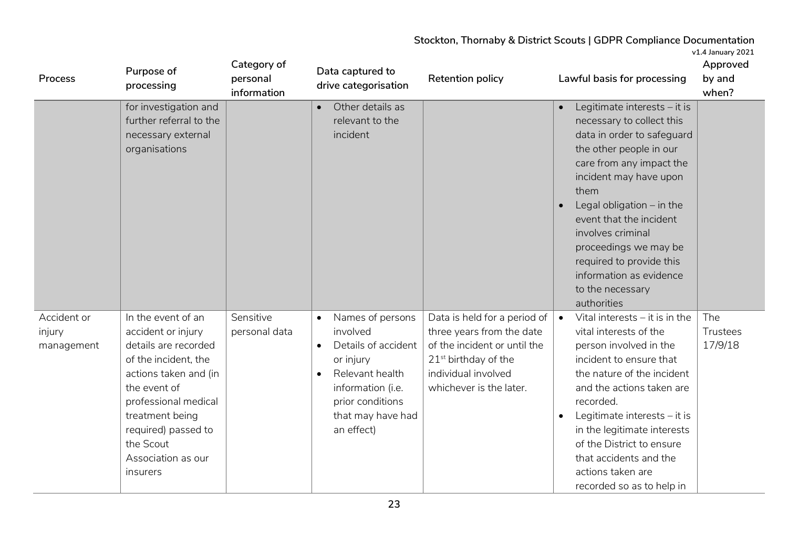| Process                             | Purpose of<br>processing                                                                                                                                                                                                                           | Category of<br>personal<br>information | Data captured to<br>drive categorisation                                                                                                                                                  | <b>Retention policy</b>                                                                                                                                                                     | Lawful basis for processing                                                                                                                                                                                                                                                                                                                                                        | Approved<br>by and<br>when? |
|-------------------------------------|----------------------------------------------------------------------------------------------------------------------------------------------------------------------------------------------------------------------------------------------------|----------------------------------------|-------------------------------------------------------------------------------------------------------------------------------------------------------------------------------------------|---------------------------------------------------------------------------------------------------------------------------------------------------------------------------------------------|------------------------------------------------------------------------------------------------------------------------------------------------------------------------------------------------------------------------------------------------------------------------------------------------------------------------------------------------------------------------------------|-----------------------------|
|                                     | for investigation and<br>further referral to the<br>necessary external<br>organisations                                                                                                                                                            |                                        | Other details as<br>relevant to the<br>incident                                                                                                                                           |                                                                                                                                                                                             | Legitimate interests - it is<br>necessary to collect this<br>data in order to safeguard<br>the other people in our<br>care from any impact the<br>incident may have upon<br>them<br>Legal obligation $-$ in the<br>event that the incident<br>involves criminal<br>proceedings we may be<br>required to provide this<br>information as evidence<br>to the necessary<br>authorities |                             |
| Accident or<br>injury<br>management | In the event of an<br>accident or injury<br>details are recorded<br>of the incident, the<br>actions taken and (in<br>the event of<br>professional medical<br>treatment being<br>required) passed to<br>the Scout<br>Association as our<br>insurers | Sensitive<br>personal data             | Names of persons<br>$\bullet$<br>involved<br>Details of accident<br>$\bullet$<br>or injury<br>Relevant health<br>information (i.e.<br>prior conditions<br>that may have had<br>an effect) | Data is held for a period of $\parallel$<br>three years from the date<br>of the incident or until the<br>21 <sup>st</sup> birthday of the<br>individual involved<br>whichever is the later. | Vital interests $-$ it is in the<br>$\bullet$<br>vital interests of the<br>person involved in the<br>incident to ensure that<br>the nature of the incident<br>and the actions taken are<br>recorded.<br>Legitimate interests - it is<br>in the legitimate interests<br>of the District to ensure<br>that accidents and the<br>actions taken are<br>recorded so as to help in       | The<br>Trustees<br>17/9/18  |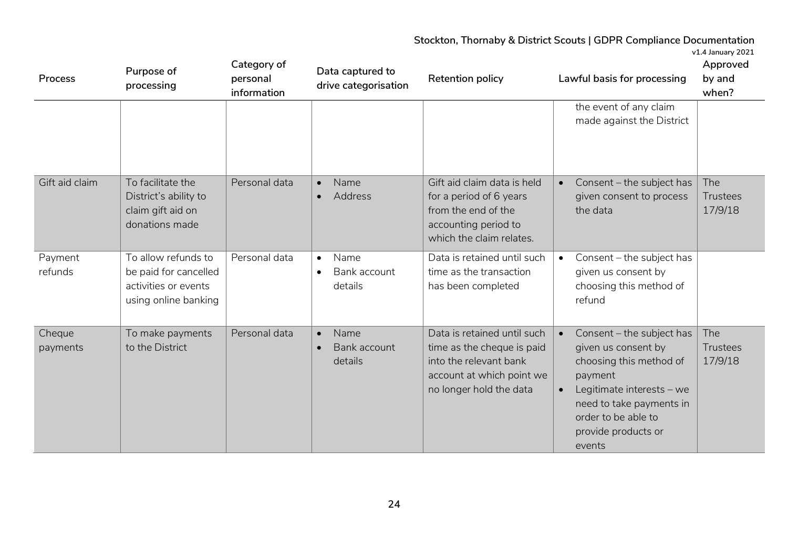| Process            | Purpose of<br>processing                                                                     | Category of<br>personal<br>information | Data captured to<br>drive categorisation                  | Retention policy                                                                                                                            | Lawful basis for processing                                                                                                                                                                             | Approved<br>by and<br>when?       |
|--------------------|----------------------------------------------------------------------------------------------|----------------------------------------|-----------------------------------------------------------|---------------------------------------------------------------------------------------------------------------------------------------------|---------------------------------------------------------------------------------------------------------------------------------------------------------------------------------------------------------|-----------------------------------|
|                    |                                                                                              |                                        |                                                           |                                                                                                                                             | the event of any claim<br>made against the District                                                                                                                                                     |                                   |
| Gift aid claim     | To facilitate the<br>District's ability to<br>claim gift aid on<br>donations made            | Personal data                          | Name<br>$\bullet$<br><b>Address</b>                       | Gift aid claim data is held<br>for a period of 6 years<br>from the end of the<br>accounting period to<br>which the claim relates.           | Consent - the subject has<br>given consent to process<br>the data                                                                                                                                       | The<br><b>Trustees</b><br>17/9/18 |
| Payment<br>refunds | To allow refunds to<br>be paid for cancelled<br>activities or events<br>using online banking | Personal data                          | Name<br>$\bullet$<br>Bank account<br>$\bullet$<br>details | Data is retained until such<br>time as the transaction<br>has been completed                                                                | Consent - the subject has<br>$\bullet$<br>given us consent by<br>choosing this method of<br>refund                                                                                                      |                                   |
| Cheque<br>payments | To make payments<br>to the District                                                          | Personal data                          | Name<br>$\bullet$<br>Bank account<br>details              | Data is retained until such<br>time as the cheque is paid<br>into the relevant bank<br>account at which point we<br>no longer hold the data | Consent - the subject has<br>given us consent by<br>choosing this method of<br>payment<br>Legitimate interests - we<br>need to take payments in<br>order to be able to<br>provide products or<br>events | The<br><b>Trustees</b><br>17/9/18 |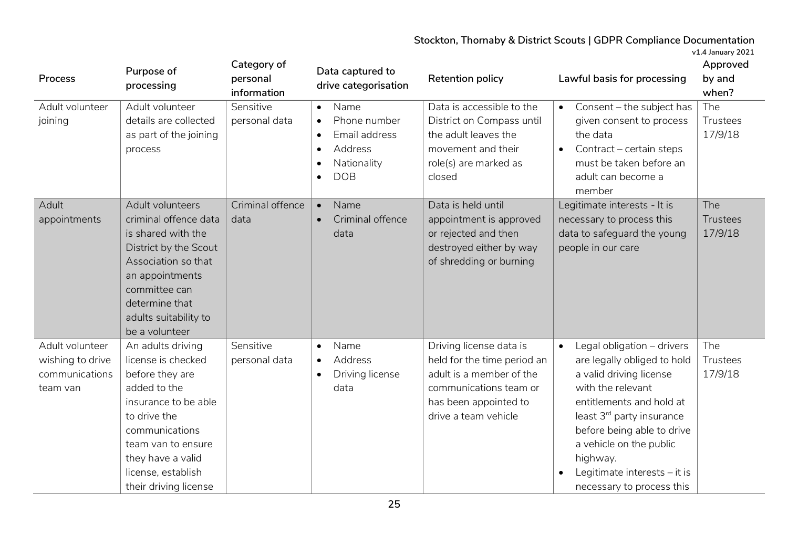**v1.4 January 2021**

| Process                                                           | Purpose of<br>processing                                                                                                                                                                                                       | Category of<br>personal<br>information | Data captured to<br>drive categorisation                                                                             | <b>Retention policy</b>                                                                                                                                       | Lawful basis for processing                                                                                                                                                                                                                                                                                       | Approved<br>by and<br>when?       |
|-------------------------------------------------------------------|--------------------------------------------------------------------------------------------------------------------------------------------------------------------------------------------------------------------------------|----------------------------------------|----------------------------------------------------------------------------------------------------------------------|---------------------------------------------------------------------------------------------------------------------------------------------------------------|-------------------------------------------------------------------------------------------------------------------------------------------------------------------------------------------------------------------------------------------------------------------------------------------------------------------|-----------------------------------|
| Adult volunteer<br>joining                                        | Adult volunteer<br>details are collected<br>as part of the joining<br>process                                                                                                                                                  | Sensitive<br>personal data             | Name<br>$\bullet$<br>Phone number<br>$\bullet$<br>Email address<br>$\bullet$<br>Address<br>Nationality<br><b>DOB</b> | Data is accessible to the<br>District on Compass until<br>the adult leaves the<br>movement and their<br>role(s) are marked as<br>closed                       | Consent - the subject has<br>given consent to process<br>the data<br>Contract - certain steps<br>$\bullet$<br>must be taken before an<br>adult can become a<br>member                                                                                                                                             | The<br>Trustees<br>17/9/18        |
| Adult<br>appointments                                             | Adult volunteers<br>criminal offence data<br>is shared with the<br>District by the Scout<br>Association so that<br>an appointments<br>committee can<br>determine that<br>adults suitability to<br>be a volunteer               | Criminal offence<br>data               | Name<br>$\bullet$<br>Criminal offence<br>$\bullet$<br>data                                                           | Data is held until<br>appointment is approved<br>or rejected and then<br>destroyed either by way<br>of shredding or burning                                   | Legitimate interests - It is<br>necessary to process this<br>data to safeguard the young<br>people in our care                                                                                                                                                                                                    | The<br><b>Trustees</b><br>17/9/18 |
| Adult volunteer<br>wishing to drive<br>communications<br>team van | An adults driving<br>license is checked<br>before they are<br>added to the<br>insurance to be able<br>to drive the<br>communications<br>team van to ensure<br>they have a valid<br>license, establish<br>their driving license | Sensitive<br>personal data             | Name<br>$\bullet$<br><b>Address</b><br>$\bullet$<br>Driving license<br>$\bullet$<br>data                             | Driving license data is<br>held for the time period an<br>adult is a member of the<br>communications team or<br>has been appointed to<br>drive a team vehicle | Legal obligation - drivers<br>$\bullet$<br>are legally obliged to hold<br>a valid driving license<br>with the relevant<br>entitlements and hold at<br>least 3rd party insurance<br>before being able to drive<br>a vehicle on the public<br>highway.<br>Legitimate interests - it is<br>necessary to process this | The<br>Trustees<br>17/9/18        |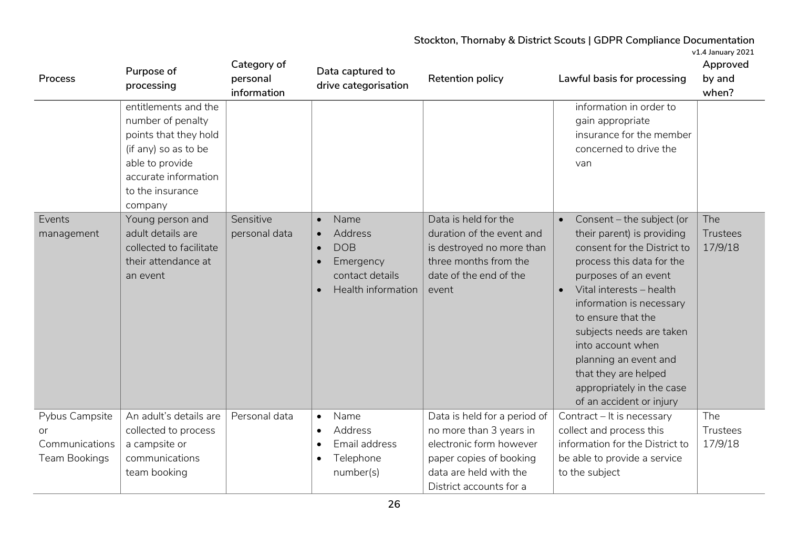| Process                                                 | Purpose of<br>processing                                                                                                                                                                                                                                                    | Category of<br>personal<br>information | Data captured to<br>drive categorisation                                                                                                             | <b>Retention policy</b>                                                                                                                                            | Lawful basis for processing                                                                                                                                                                                                                                                                                                                        | Approved<br>by and<br>when?       |
|---------------------------------------------------------|-----------------------------------------------------------------------------------------------------------------------------------------------------------------------------------------------------------------------------------------------------------------------------|----------------------------------------|------------------------------------------------------------------------------------------------------------------------------------------------------|--------------------------------------------------------------------------------------------------------------------------------------------------------------------|----------------------------------------------------------------------------------------------------------------------------------------------------------------------------------------------------------------------------------------------------------------------------------------------------------------------------------------------------|-----------------------------------|
| Events<br>management                                    | entitlements and the<br>number of penalty<br>points that they hold<br>(if any) so as to be<br>able to provide<br>accurate information<br>to the insurance<br>company<br>Young person and<br>adult details are<br>collected to facilitate<br>their attendance at<br>an event | Sensitive<br>personal data             | Name<br>$\bullet$<br>Address<br>$\bullet$<br><b>DOB</b><br>$\bullet$<br>Emergency<br>$\bullet$<br>contact details<br>Health information<br>$\bullet$ | Data is held for the<br>duration of the event and<br>is destroyed no more than<br>three months from the<br>date of the end of the<br>event                         | information in order to<br>gain appropriate<br>insurance for the member<br>concerned to drive the<br>van<br>Consent - the subject (or<br>their parent) is providing<br>consent for the District to<br>process this data for the<br>purposes of an event<br>Vital interests - health<br>$\bullet$<br>information is necessary<br>to ensure that the | The<br><b>Trustees</b><br>17/9/18 |
|                                                         |                                                                                                                                                                                                                                                                             |                                        |                                                                                                                                                      |                                                                                                                                                                    | subjects needs are taken<br>into account when<br>planning an event and<br>that they are helped<br>appropriately in the case<br>of an accident or injury                                                                                                                                                                                            |                                   |
| Pybus Campsite<br>or<br>Communications<br>Team Bookings | An adult's details are<br>collected to process<br>a campsite or<br>communications<br>team booking                                                                                                                                                                           | Personal data                          | Name<br>$\bullet$<br><b>Address</b><br>$\bullet$<br>Email address<br>$\bullet$<br>Telephone<br>$\bullet$<br>number(s)                                | Data is held for a period of<br>no more than 3 years in<br>electronic form however<br>paper copies of booking<br>data are held with the<br>District accounts for a | Contract - It is necessary<br>collect and process this<br>information for the District to<br>be able to provide a service<br>to the subject                                                                                                                                                                                                        | The<br>Trustees<br>17/9/18        |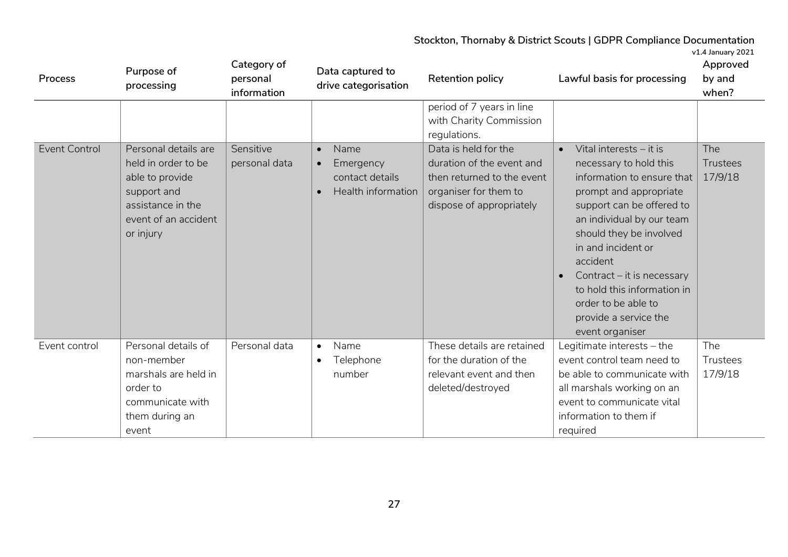**v1.4 January 2021**

| Process              | Purpose of<br>processing                                                                                                                | Category of<br>personal<br>information | Data captured to<br>drive categorisation                                             | <b>Retention policy</b>                                                                                                              | Lawful basis for processing                                                                                                                                                                                                                                                                                                                                      | Approved<br>by and<br>when?       |
|----------------------|-----------------------------------------------------------------------------------------------------------------------------------------|----------------------------------------|--------------------------------------------------------------------------------------|--------------------------------------------------------------------------------------------------------------------------------------|------------------------------------------------------------------------------------------------------------------------------------------------------------------------------------------------------------------------------------------------------------------------------------------------------------------------------------------------------------------|-----------------------------------|
|                      |                                                                                                                                         |                                        |                                                                                      | period of 7 years in line<br>with Charity Commission<br>regulations.                                                                 |                                                                                                                                                                                                                                                                                                                                                                  |                                   |
| <b>Event Control</b> | Personal details are<br>held in order to be<br>able to provide<br>support and<br>assistance in the<br>event of an accident<br>or injury | Sensitive<br>personal data             | Name<br>$\bullet$<br>Emergency<br>$\bullet$<br>contact details<br>Health information | Data is held for the<br>duration of the event and<br>then returned to the event<br>organiser for them to<br>dispose of appropriately | Vital interests - it is<br>necessary to hold this<br>information to ensure that<br>prompt and appropriate<br>support can be offered to<br>an individual by our team<br>should they be involved<br>in and incident or<br>accident<br>Contract – it is necessary<br>to hold this information in<br>order to be able to<br>provide a service the<br>event organiser | <b>The</b><br>Trustees<br>17/9/18 |
| Event control        | Personal details of<br>non-member<br>marshals are held in<br>order to<br>communicate with<br>them during an<br>event                    | Personal data                          | Name<br>$\bullet$<br>Telephone<br>$\bullet$<br>number                                | These details are retained<br>for the duration of the<br>relevant event and then<br>deleted/destroyed                                | Legitimate interests - the<br>event control team need to<br>be able to communicate with<br>all marshals working on an<br>event to communicate vital<br>information to them if<br>required                                                                                                                                                                        | The<br>Trustees<br>17/9/18        |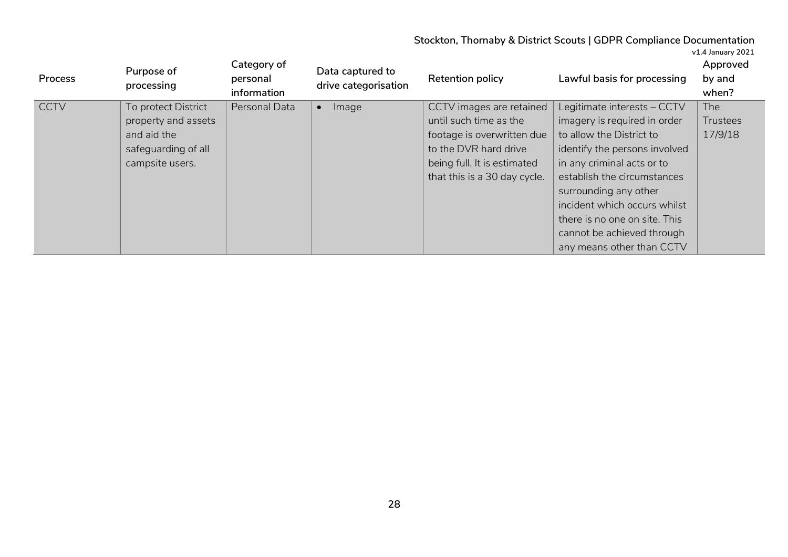| v1.4 January 2021 |
|-------------------|
|-------------------|

| Process     | Purpose of<br>processing | Category of<br>personal<br>information | Data captured to<br>drive categorisation | Retention policy             | Lawful basis for processing   | Approved<br>by and<br>when? |
|-------------|--------------------------|----------------------------------------|------------------------------------------|------------------------------|-------------------------------|-----------------------------|
| <b>CCTV</b> | To protect District      | Personal Data                          | Image                                    | CCTV images are retained     | Legitimate interests - CCTV   | The                         |
|             | property and assets      |                                        |                                          | until such time as the       | imagery is required in order  | <b>Trustees</b>             |
|             | and aid the              |                                        |                                          | footage is overwritten due   | to allow the District to      | 17/9/18                     |
|             | safeguarding of all      |                                        |                                          | to the DVR hard drive        | identify the persons involved |                             |
|             | campsite users.          |                                        |                                          | being full. It is estimated  | in any criminal acts or to    |                             |
|             |                          |                                        |                                          | that this is a 30 day cycle. | establish the circumstances   |                             |
|             |                          |                                        |                                          |                              | surrounding any other         |                             |
|             |                          |                                        |                                          |                              | incident which occurs whilst  |                             |
|             |                          |                                        |                                          |                              | there is no one on site. This |                             |
|             |                          |                                        |                                          |                              | cannot be achieved through    |                             |
|             |                          |                                        |                                          |                              | any means other than CCTV     |                             |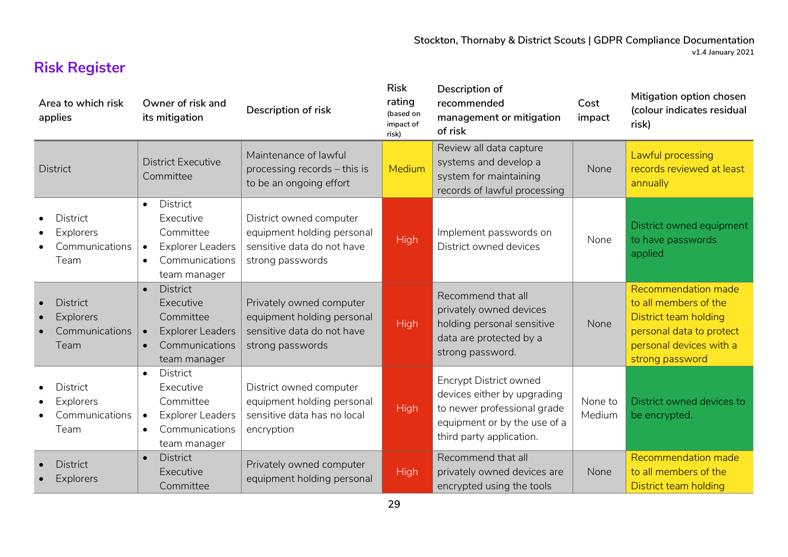# **Risk Register**

| Area to which risk<br>applies                                 | Owner of risk and<br>its mitigation                                                                                                           | Description of risk                                                                                      | <b>Risk</b><br>rating<br>(based on<br>impact of<br>risk) | Description of<br>recommended<br>management or mitigation<br>of risk                                                                                    | Cost<br>impact    | Mitigation option chosen<br>(colour indicates residual<br>risk)                                                                                 |
|---------------------------------------------------------------|-----------------------------------------------------------------------------------------------------------------------------------------------|----------------------------------------------------------------------------------------------------------|----------------------------------------------------------|---------------------------------------------------------------------------------------------------------------------------------------------------------|-------------------|-------------------------------------------------------------------------------------------------------------------------------------------------|
| <b>District</b>                                               | <b>District Executive</b><br>Committee                                                                                                        | Maintenance of lawful<br>processing records - this is<br>to be an ongoing effort                         | <b>Medium</b>                                            | Review all data capture<br>systems and develop a<br>system for maintaining<br>records of lawful processing                                              | None              | Lawful processing<br>records reviewed at least<br>annually                                                                                      |
| <b>District</b><br><b>Explorers</b><br>Communications<br>Team | <b>District</b><br>$\bullet$<br>Executive<br>Committee<br><b>Explorer Leaders</b><br>$\bullet$<br>Communications<br>$\bullet$<br>team manager | District owned computer<br>equipment holding personal<br>sensitive data do not have<br>strong passwords  | <b>High</b>                                              | Implement passwords on<br>District owned devices                                                                                                        | None              | District owned equipment<br>to have passwords<br>applied                                                                                        |
| <b>District</b><br><b>Explorers</b><br>Communications<br>Team | <b>District</b><br>$\bullet$<br>Executive<br>Committee<br><b>Explorer Leaders</b><br>Communications<br>$\bullet$<br>team manager              | Privately owned computer<br>equipment holding personal<br>sensitive data do not have<br>strong passwords | <b>High</b>                                              | Recommend that all<br>privately owned devices<br>holding personal sensitive<br>data are protected by a<br>strong password.                              | None              | Recommendation made<br>to all members of the<br>District team holding<br>personal data to protect<br>personal devices with a<br>strong password |
| <b>District</b><br>Explorers<br>Communications<br>Team        | <b>District</b><br>$\bullet$<br>Executive<br>Committee<br><b>Explorer Leaders</b><br>$\bullet$<br>Communications<br>$\bullet$<br>team manager | District owned computer<br>equipment holding personal<br>sensitive data has no local<br>encryption       | <b>High</b>                                              | <b>Encrypt District owned</b><br>devices either by upgrading<br>to newer professional grade<br>equipment or by the use of a<br>third party application. | None to<br>Medium | District owned devices to<br>be encrypted.                                                                                                      |
| <b>District</b><br><b>Explorers</b>                           | <b>District</b><br>$\bullet$<br>Executive<br>Committee                                                                                        | Privately owned computer<br>equipment holding personal                                                   | <b>High</b>                                              | Recommend that all<br>privately owned devices are<br>encrypted using the tools                                                                          | None              | Recommendation made<br>to all members of the<br>District team holding                                                                           |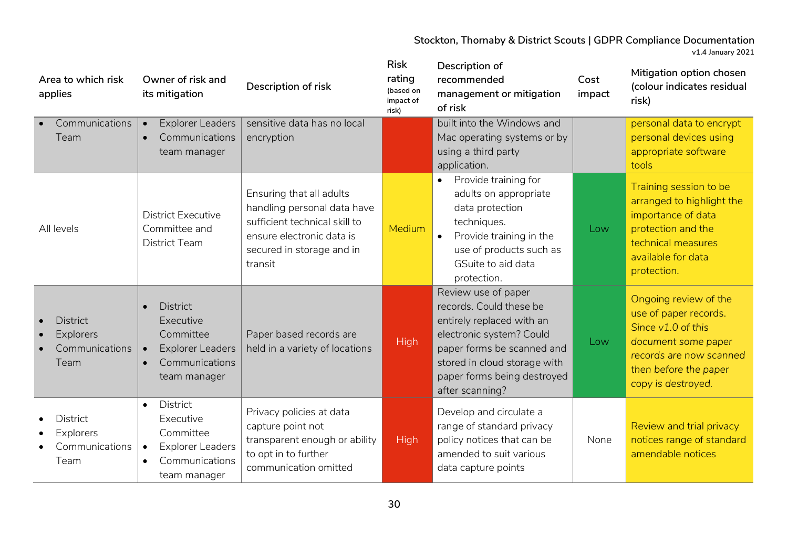| Area to which risk<br>applies                                                           | Owner of risk and<br>its mitigation                                                                                                           | Description of risk                                                                                                                                           | <b>Risk</b><br>rating<br>(based on<br>impact of<br>risk) | Description of<br>recommended<br>management or mitigation<br>of risk                                                                                                                                                    | Cost<br>impact | Mitigation option chosen<br>(colour indicates residual<br>risk)                                                                                                       |
|-----------------------------------------------------------------------------------------|-----------------------------------------------------------------------------------------------------------------------------------------------|---------------------------------------------------------------------------------------------------------------------------------------------------------------|----------------------------------------------------------|-------------------------------------------------------------------------------------------------------------------------------------------------------------------------------------------------------------------------|----------------|-----------------------------------------------------------------------------------------------------------------------------------------------------------------------|
| Communications<br>Team                                                                  | <b>Explorer Leaders</b><br>$\bullet$<br>Communications<br>$\bullet$<br>team manager                                                           | sensitive data has no local<br>encryption                                                                                                                     |                                                          | built into the Windows and<br>Mac operating systems or by<br>using a third party<br>application.                                                                                                                        |                | personal data to encrypt<br>personal devices using<br>appropriate software<br>tools                                                                                   |
| All levels                                                                              | <b>District Executive</b><br>Committee and<br><b>District Team</b>                                                                            | Ensuring that all adults<br>handling personal data have<br>sufficient technical skill to<br>ensure electronic data is<br>secured in storage and in<br>transit | <b>Medium</b>                                            | Provide training for<br>$\bullet$<br>adults on appropriate<br>data protection<br>techniques.<br>Provide training in the<br>$\bullet$<br>use of products such as<br>GSuite to aid data<br>protection.                    | Low            | Training session to be<br>arranged to highlight the<br>importance of data<br>protection and the<br>technical measures<br>available for data<br>protection.            |
| <b>District</b><br>$\bullet$<br><b>Explorers</b><br>$\bullet$<br>Communications<br>Team | <b>District</b><br>$\bullet$<br>Executive<br>Committee<br><b>Explorer Leaders</b><br>$\bullet$<br>Communications<br>$\bullet$<br>team manager | Paper based records are<br>held in a variety of locations                                                                                                     | <b>High</b>                                              | Review use of paper<br>records. Could these be<br>entirely replaced with an<br>electronic system? Could<br>paper forms be scanned and<br>stored in cloud storage with<br>paper forms being destroyed<br>after scanning? | Low            | Ongoing review of the<br>use of paper records.<br>Since v1.0 of this<br>document some paper<br>records are now scanned<br>then before the paper<br>copy is destroyed. |
| <b>District</b><br>Explorers<br>Communications<br>Team                                  | <b>District</b><br>$\bullet$<br>Executive<br>Committee<br><b>Explorer Leaders</b><br>$\bullet$<br>Communications<br>team manager              | Privacy policies at data<br>capture point not<br>transparent enough or ability<br>to opt in to further<br>communication omitted                               | <b>High</b>                                              | Develop and circulate a<br>range of standard privacy<br>policy notices that can be<br>amended to suit various<br>data capture points                                                                                    | None           | Review and trial privacy<br>notices range of standard<br>amendable notices                                                                                            |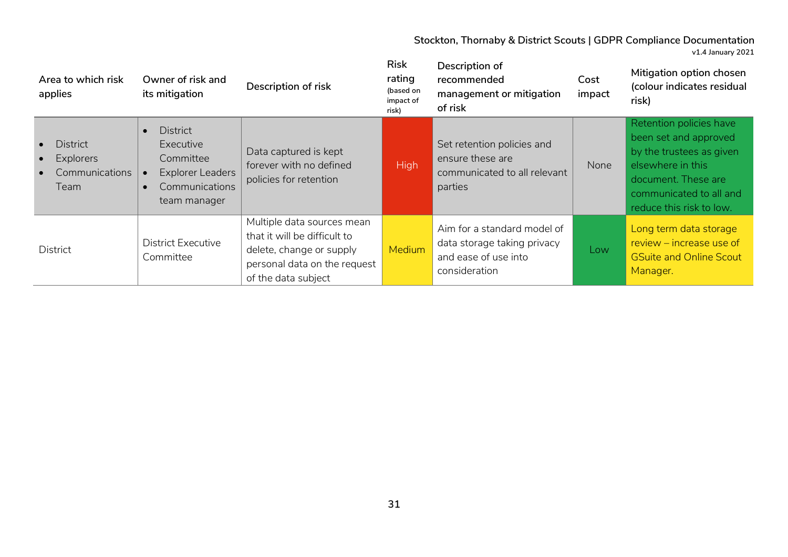**Area to which risk applies Owner of risk and its mitigation**<br>**its mitigation Risk rating (based on impact of risk) Description of recommended management or mitigation of risk Cost impact Mitigation option chosen (colour indicates residual risk)** • District • Explorers • Communications Team • District Executive Committee **Explorer Leaders** • Communications team manager Data captured is kept forever with no defined policies for retention High Set retention policies and ensure these are communicated to all relevant parties None Retention policies have been set and approved by the trustees as given elsewhere in this document. These are communicated to all and reduce this risk to low. District District Executive Committee Multiple data sources mean that it will be difficult to delete, change or supply personal data on the request of the data subject Medium Aim for a standard model of data storage taking privacy and ease of use into consideration Low Long term data storage review – increase use of GSuite and Online Scout Manager.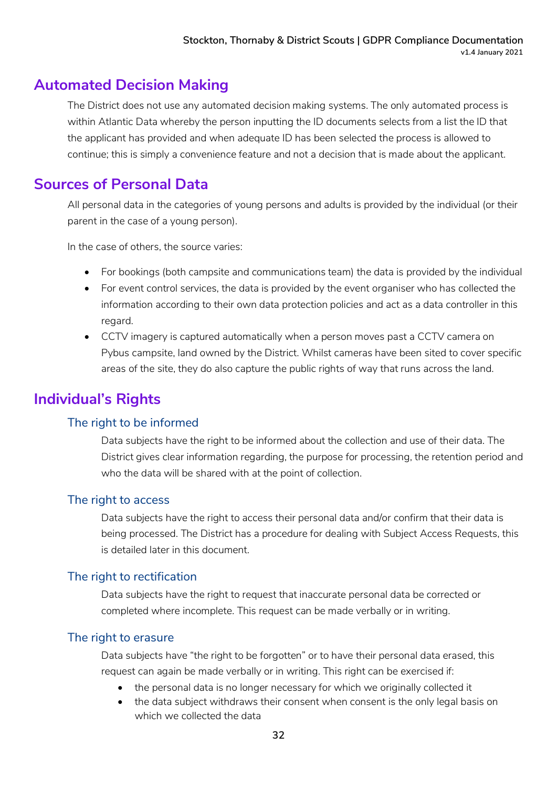## **Automated Decision Making**

The District does not use any automated decision making systems. The only automated process is within Atlantic Data whereby the person inputting the ID documents selects from a list the ID that the applicant has provided and when adequate ID has been selected the process is allowed to continue; this is simply a convenience feature and not a decision that is made about the applicant.

## **Sources of Personal Data**

All personal data in the categories of young persons and adults is provided by the individual (or their parent in the case of a young person).

In the case of others, the source varies:

- For bookings (both campsite and communications team) the data is provided by the individual
- For event control services, the data is provided by the event organiser who has collected the information according to their own data protection policies and act as a data controller in this regard.
- CCTV imagery is captured automatically when a person moves past a CCTV camera on Pybus campsite, land owned by the District. Whilst cameras have been sited to cover specific areas of the site, they do also capture the public rights of way that runs across the land.

# **Individual's Rights**

### The right to be informed

Data subjects have the right to be informed about the collection and use of their data. The District gives clear information regarding, the purpose for processing, the retention period and who the data will be shared with at the point of collection.

### The right to access

Data subjects have the right to access their personal data and/or confirm that their data is being processed. The District has a procedure for dealing with Subject Access Requests, this is detailed later in this document.

### The right to rectification

Data subjects have the right to request that inaccurate personal data be corrected or completed where incomplete. This request can be made verbally or in writing.

#### The right to erasure

Data subjects have "the right to be forgotten" or to have their personal data erased, this request can again be made verbally or in writing. This right can be exercised if:

- the personal data is no longer necessary for which we originally collected it
- the data subject withdraws their consent when consent is the only legal basis on which we collected the data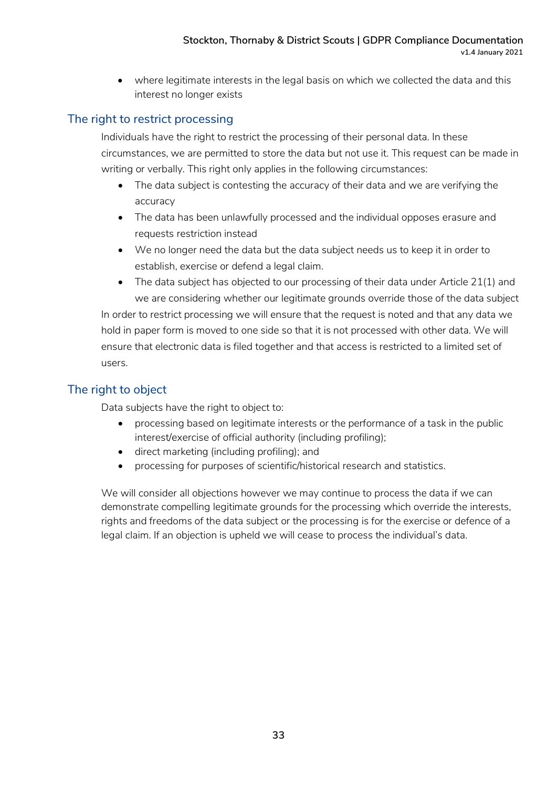• where legitimate interests in the legal basis on which we collected the data and this interest no longer exists

### The right to restrict processing

Individuals have the right to restrict the processing of their personal data. In these circumstances, we are permitted to store the data but not use it. This request can be made in writing or verbally. This right only applies in the following circumstances:

- The data subject is contesting the accuracy of their data and we are verifying the accuracy
- The data has been unlawfully processed and the individual opposes erasure and requests restriction instead
- We no longer need the data but the data subject needs us to keep it in order to establish, exercise or defend a legal claim.
- The data subject has objected to our processing of their data under Article 21(1) and we are considering whether our legitimate grounds override those of the data subject In order to restrict processing we will ensure that the request is noted and that any data we hold in paper form is moved to one side so that it is not processed with other data. We will ensure that electronic data is filed together and that access is restricted to a limited set of users.

### The right to object

Data subjects have the right to object to:

- processing based on legitimate interests or the performance of a task in the public interest/exercise of official authority (including profiling);
- direct marketing (including profiling); and
- processing for purposes of scientific/historical research and statistics.

We will consider all objections however we may continue to process the data if we can demonstrate compelling legitimate grounds for the processing which override the interests, rights and freedoms of the data subject or the processing is for the exercise or defence of a legal claim. If an objection is upheld we will cease to process the individual's data.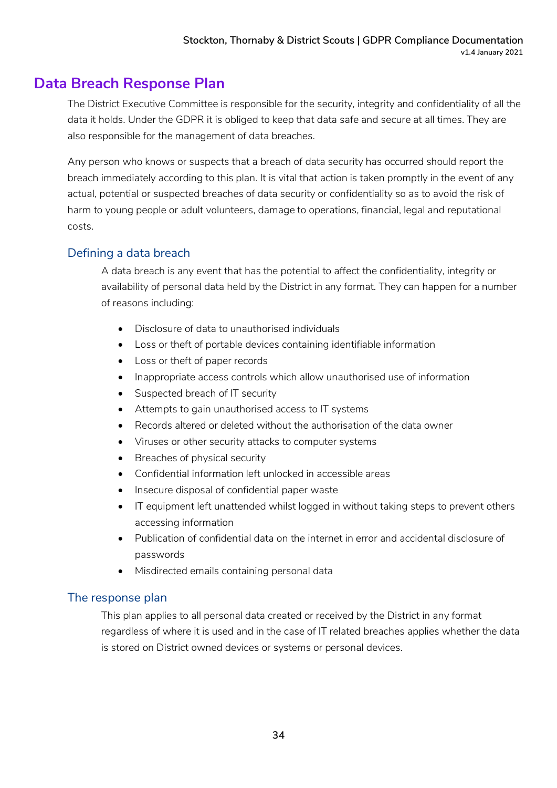### **Data Breach Response Plan**

The District Executive Committee is responsible for the security, integrity and confidentiality of all the data it holds. Under the GDPR it is obliged to keep that data safe and secure at all times. They are also responsible for the management of data breaches.

Any person who knows or suspects that a breach of data security has occurred should report the breach immediately according to this plan. It is vital that action is taken promptly in the event of any actual, potential or suspected breaches of data security or confidentiality so as to avoid the risk of harm to young people or adult volunteers, damage to operations, financial, legal and reputational costs.

### Defining a data breach

A data breach is any event that has the potential to affect the confidentiality, integrity or availability of personal data held by the District in any format. They can happen for a number of reasons including:

- Disclosure of data to unauthorised individuals
- Loss or theft of portable devices containing identifiable information
- Loss or theft of paper records
- Inappropriate access controls which allow unauthorised use of information
- Suspected breach of IT security
- Attempts to gain unauthorised access to IT systems
- Records altered or deleted without the authorisation of the data owner
- Viruses or other security attacks to computer systems
- Breaches of physical security
- Confidential information left unlocked in accessible areas
- Insecure disposal of confidential paper waste
- IT equipment left unattended whilst logged in without taking steps to prevent others accessing information
- Publication of confidential data on the internet in error and accidental disclosure of passwords
- Misdirected emails containing personal data

#### The response plan

This plan applies to all personal data created or received by the District in any format regardless of where it is used and in the case of IT related breaches applies whether the data is stored on District owned devices or systems or personal devices.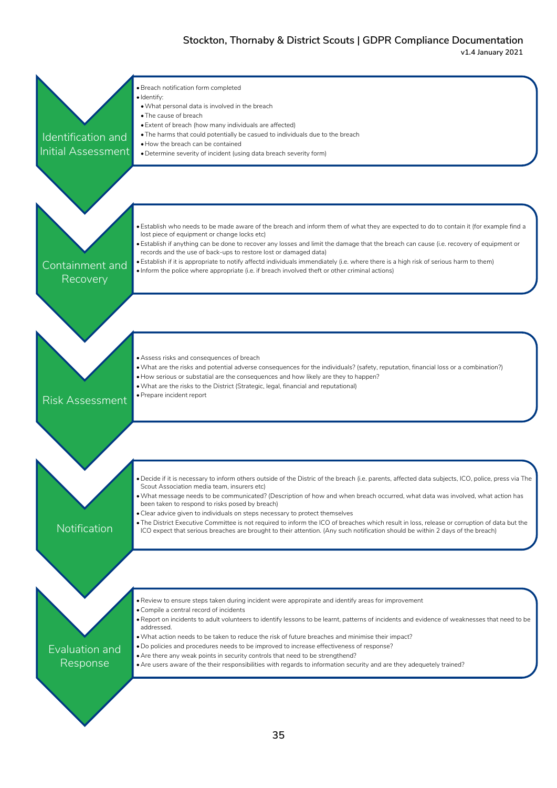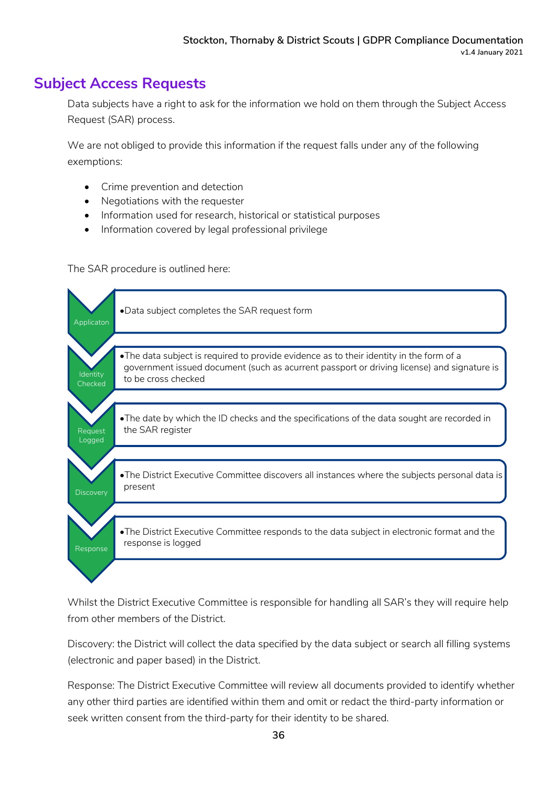### **Subject Access Requests**

Data subjects have a right to ask for the information we hold on them through the Subject Access Request (SAR) process.

We are not obliged to provide this information if the request falls under any of the following exemptions:

- Crime prevention and detection
- Negotiations with the requester
- Information used for research, historical or statistical purposes
- Information covered by legal professional privilege

The SAR procedure is outlined here:



Whilst the District Executive Committee is responsible for handling all SAR's they will require help from other members of the District.

Discovery: the District will collect the data specified by the data subject or search all filling systems (electronic and paper based) in the District.

Response: The District Executive Committee will review all documents provided to identify whether any other third parties are identified within them and omit or redact the third-party information or seek written consent from the third-party for their identity to be shared.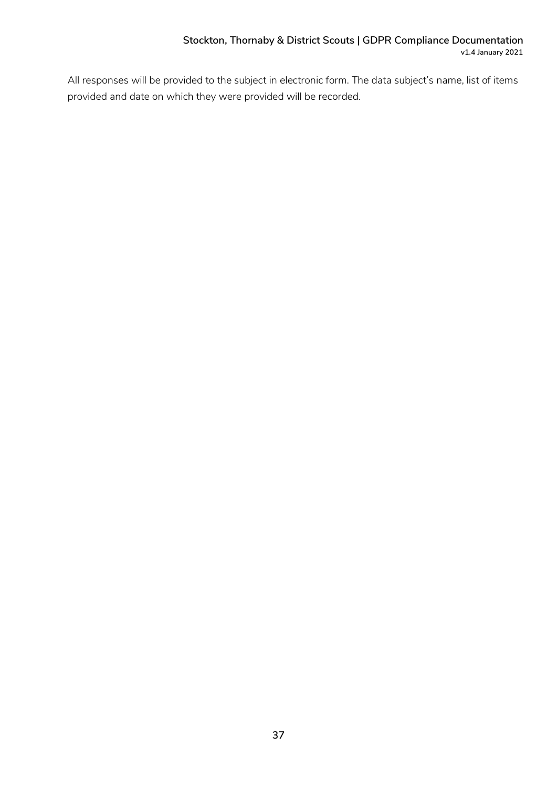All responses will be provided to the subject in electronic form. The data subject's name, list of items provided and date on which they were provided will be recorded.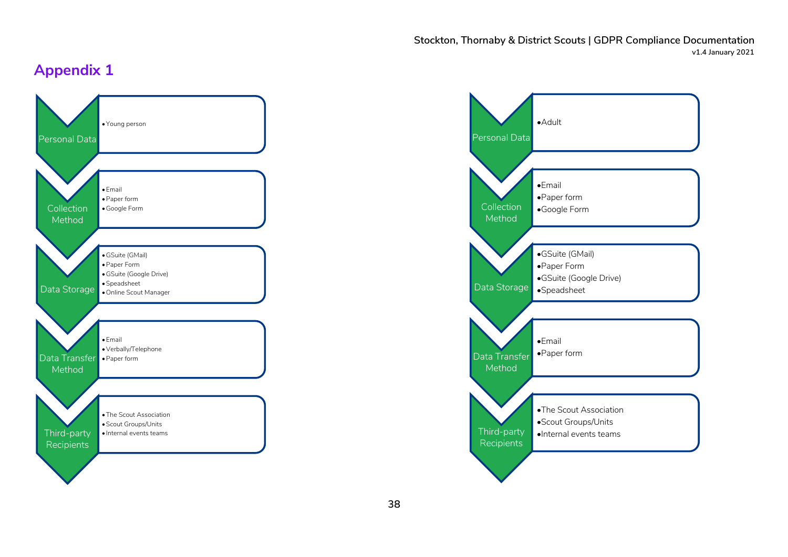# **Appendix 1**



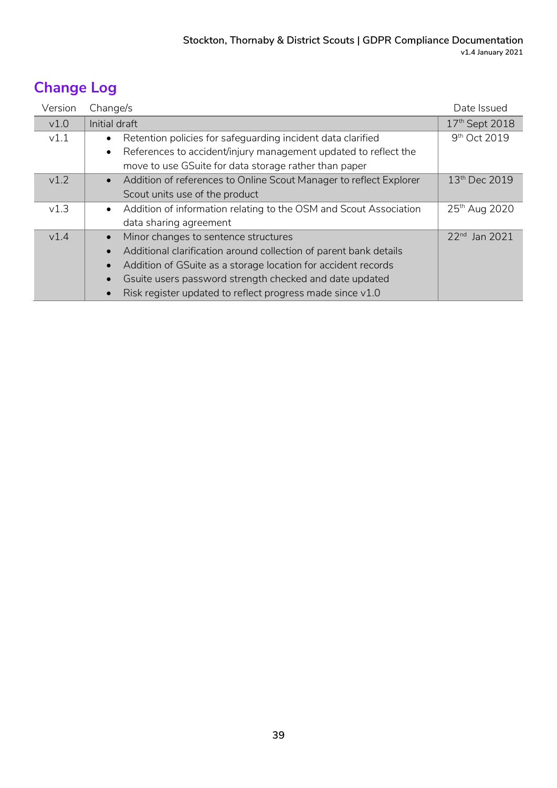# **Change Log**

| Version | Change/s                                                                        | Date Issued               |
|---------|---------------------------------------------------------------------------------|---------------------------|
| v1.0    | Initial draft                                                                   | 17th Sept 2018            |
| v1.1    | Retention policies for safeguarding incident data clarified<br>$\bullet$        | 9 <sup>th</sup> Oct 2019  |
|         | References to accident/injury management updated to reflect the<br>$\bullet$    |                           |
|         | move to use GSuite for data storage rather than paper                           |                           |
| v1.2    | Addition of references to Online Scout Manager to reflect Explorer<br>$\bullet$ | 13 <sup>th</sup> Dec 2019 |
|         | Scout units use of the product                                                  |                           |
| v1.3    | Addition of information relating to the OSM and Scout Association<br>$\bullet$  | 25th Aug 2020             |
|         | data sharing agreement                                                          |                           |
| v1.4    | Minor changes to sentence structures<br>$\bullet$                               | 22 <sup>nd</sup> Jan 2021 |
|         | Additional clarification around collection of parent bank details<br>$\bullet$  |                           |
|         | Addition of GSuite as a storage location for accident records<br>$\bullet$      |                           |
|         | Gsuite users password strength checked and date updated                         |                           |
|         | Risk register updated to reflect progress made since v1.0                       |                           |